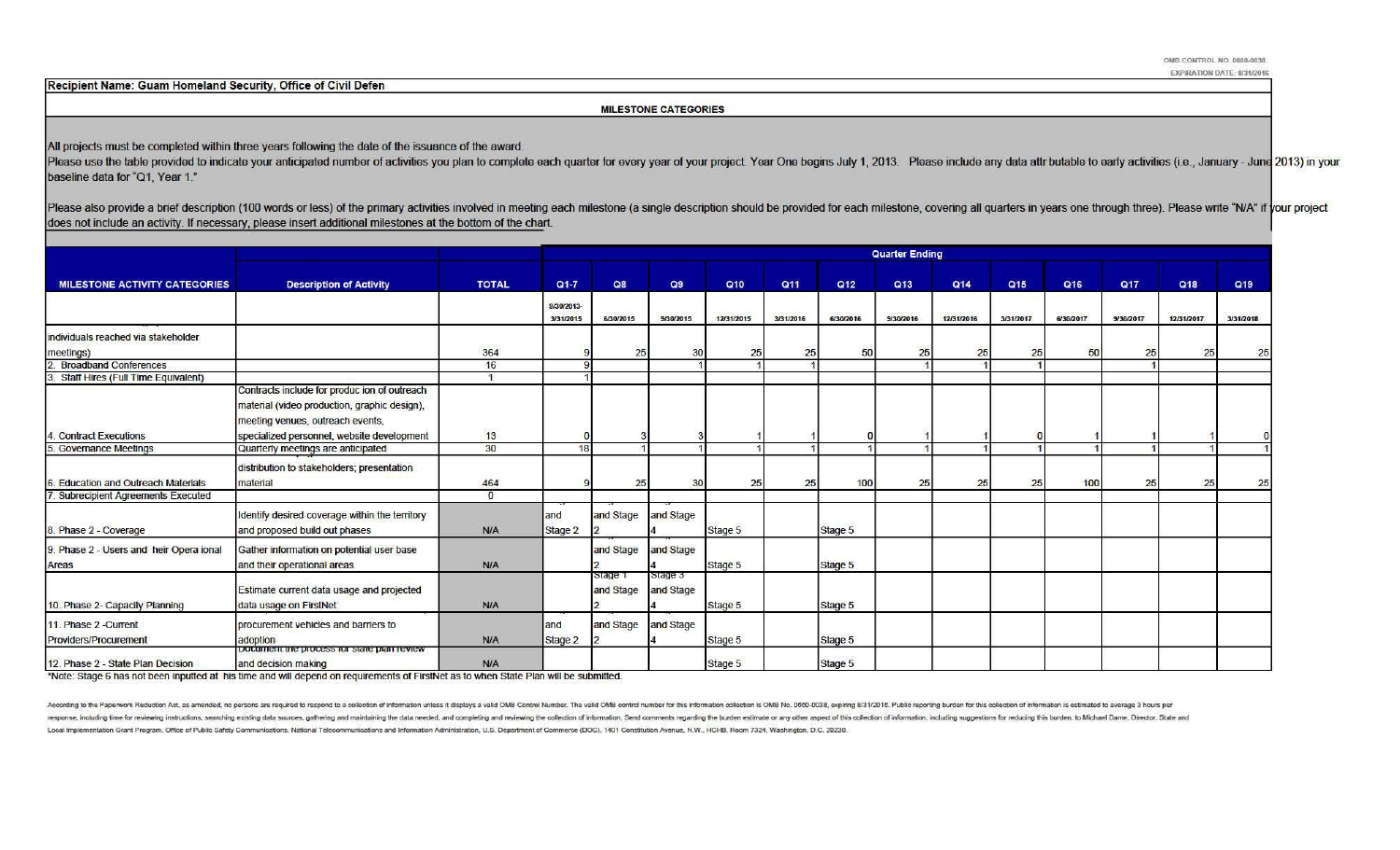Recipient Name: Guam Homeland Security, Office of Civil Defen

### MILESTONE CATEGORIES

All projects must be completed within three years following the date of the issuance of the award.

Please use the table provided to indicate your anticipated number of activities you plan to complete each quarter for every year of your project. Year One begins July 1, 2013. Please include any data attr butable to early baseline data for "Q1, Year 1."

Please also provide a brief description (100 words or less) of the primary activities involved in meeting each milestone (a single description should be provided for each milestone, covering all quarters in years one throu does not include an activity. If necessary, please insert additional milestones at the bottom of the chart.

|                                                       |                                                                                                                                                                                |                      | <b>Quarter Ending</b>   |                      |                      |            |           |           |           |                 |           |           |            |            |                 |  |
|-------------------------------------------------------|--------------------------------------------------------------------------------------------------------------------------------------------------------------------------------|----------------------|-------------------------|----------------------|----------------------|------------|-----------|-----------|-----------|-----------------|-----------|-----------|------------|------------|-----------------|--|
| <b>MILESTONE ACTIVITY CATEGORIES</b>                  | <b>Description of Activity</b>                                                                                                                                                 | <b>TOTAL</b>         | $Q1 - 7$                | Q8                   | Q9                   | Q10        | Q11       | Q12       | Q13       | Q <sub>14</sub> | Q15       | Q16       | <b>Q17</b> | Q18        | Q <sub>19</sub> |  |
|                                                       |                                                                                                                                                                                |                      | 9/30/2013-<br>3/31/2015 | 6/30/2015            | 9/30/2015            | 12/31/2015 | 3/31/2016 | 6/30/2016 | 9/30/2016 | 12/31/2016      | 3/31/2017 | 6/30/2017 | 9/30/2017  | 12/31/2017 | 3/31/2018       |  |
| individuals reached via stakeholder                   |                                                                                                                                                                                |                      |                         |                      |                      |            |           |           |           |                 |           |           |            |            |                 |  |
| meetings)                                             |                                                                                                                                                                                | 364                  |                         | 25                   | 30                   | 25         | 25        | 50        | 25        | 25              | 25        | 50        | 25         | 25         | 25              |  |
| <b>Broadband Conferences</b>                          |                                                                                                                                                                                | 16                   |                         |                      |                      |            |           |           |           |                 |           |           |            |            |                 |  |
| <b>Staff Hires (Full Time Equivalent)</b>             |                                                                                                                                                                                | $\blacktriangleleft$ |                         |                      |                      |            |           |           |           |                 |           |           |            |            |                 |  |
| 4. Contract Executions                                | Contracts include for produc ion of outreach<br>material (video production, graphic design),<br>meeting venues, outreach events,<br>specialized personnel, website development | 13                   |                         |                      |                      |            |           |           |           |                 |           |           |            |            |                 |  |
| 5. Governance Meetings                                | Quarterly meetings are anticipated                                                                                                                                             | 30                   | 18                      |                      |                      |            |           |           |           |                 |           |           |            |            |                 |  |
| <b>Education and Outreach Materials</b>               | distribution to stakeholders; presentation<br>material                                                                                                                         | 464                  |                         | 25                   | 30                   | 25         | 25        | 100       | 25        | 25              | 25        | 100       | 25         | 25         | 25              |  |
| 7. Subrecipient Agreements Executed                   |                                                                                                                                                                                | $\overline{0}$       |                         |                      |                      |            |           |           |           |                 |           |           |            |            |                 |  |
| 8. Phase 2 - Coverage                                 | Identify desired coverage within the territory<br>and proposed build out phases                                                                                                | N/A                  | and<br>Stage 2          | and Stage            | and Stage            | Stage 5    |           | Stage 5   |           |                 |           |           |            |            |                 |  |
| 9. Phase 2 - Users and heir Opera ional<br>Areas      | Gather information on potential user base<br>and their operational areas                                                                                                       | N/A                  |                         | and Stage            | and Stage            | Stage 5    |           | Stage 5   |           |                 |           |           |            |            |                 |  |
| 10. Phase 2- Capacity Planning                        | Estimate current data usage and projected<br>data usage on FirstNet                                                                                                            | <b>N/A</b>           |                         | Stage 1<br>and Stage | Stage 3<br>and Stage | Stage 5    |           | Stage 5   |           |                 |           |           |            |            |                 |  |
| 11. Phase 2 - Current<br><b>Providers/Procurement</b> | procurement vehicles and barriers to<br>adoption<br>Document the process for state plan review                                                                                 | <b>N/A</b>           | land<br>Stage 2         | and Stage            | and Stage            | Stage 5    |           | Stage 5   |           |                 |           |           |            |            |                 |  |
| 12. Phase 2 - State Plan Decision                     | and decision making                                                                                                                                                            | N/A                  |                         |                      |                      | Stage 5    |           | Stage 5   |           |                 |           |           |            |            |                 |  |

\*Note: Stage 6 has not been inputted at his time and will depend on requirements of FirstNet as to when State Plan will be submitted.

According to the Paperwork Reduction Act, as amended, no persons are required to respond to a collection of information unless it displays a valid OMB Control Number. The valid OMB control number for this information colle response, including time for reviewing instructions, searching existing data sources, gathering and maintaining the data needed, and completing and reviewing the collection of information. Send comments regarding the burde Local Implementation Grant Program, Office of Public Safety Communications, National Telecommunications and Information Administration, U.S. Department of Commerce (DOC), 1401 Constitution Avenue, N.W., HCHB, Room 7324, Wa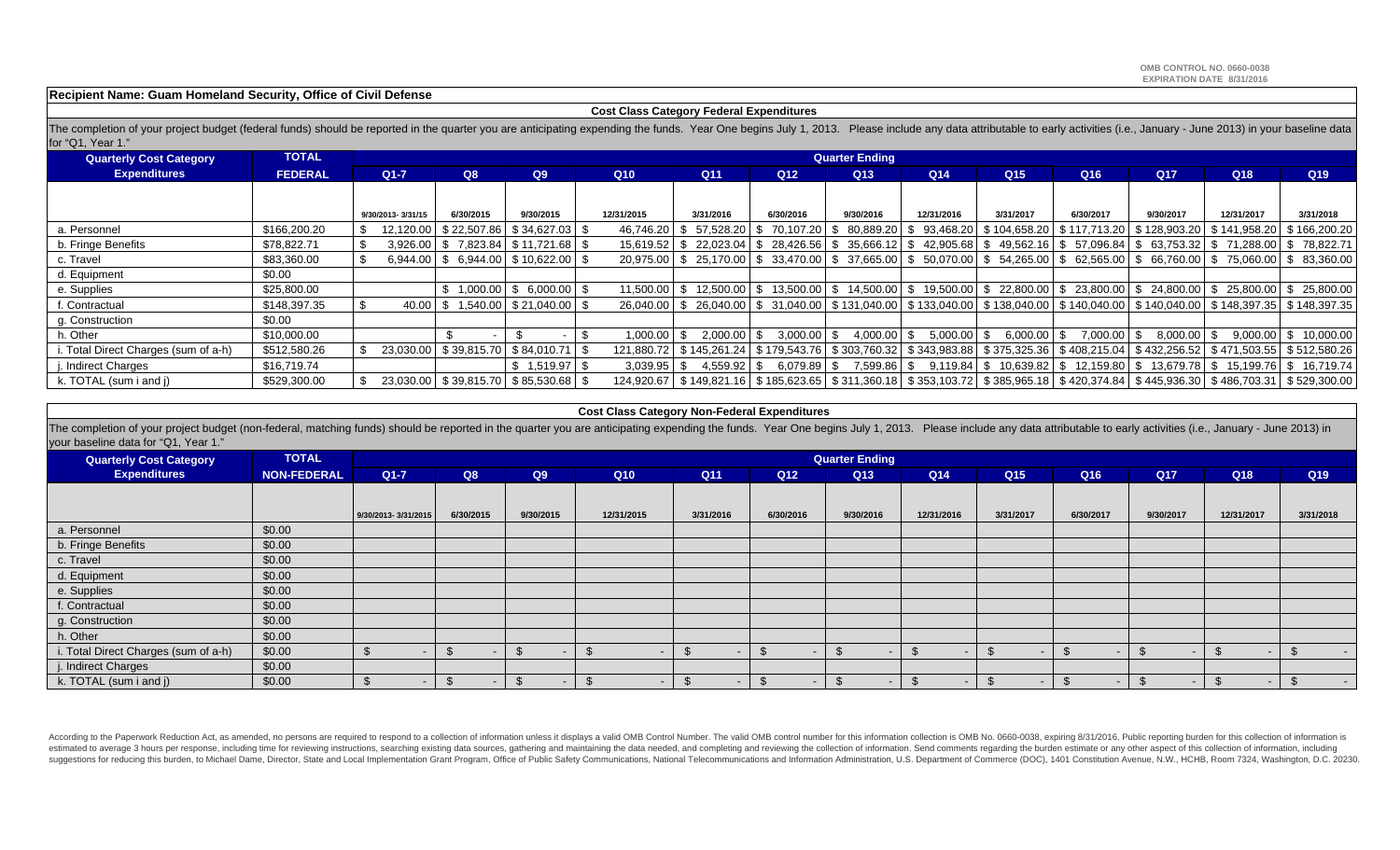## **Recipient Name: Guam Homeland Security, Office of Civil Defense**

#### **Cost Class Category Federal Expenditures**

The completion of your project budget (federal funds) should be reported in the quarter you are anticipating expending the funds. Year One begins July 1, 2013. Please include any data attributable to early activities (i.e. for "Q1, Year 1."

| <b>Quarterly Cost Category</b>      | <b>TOTAL</b>   |        |                   |           |                                                |            |               |                 |                             | <b>Quarter Ending</b> |                           |                 |                                                                                                                                                                      |            |            |                        |
|-------------------------------------|----------------|--------|-------------------|-----------|------------------------------------------------|------------|---------------|-----------------|-----------------------------|-----------------------|---------------------------|-----------------|----------------------------------------------------------------------------------------------------------------------------------------------------------------------|------------|------------|------------------------|
| <b>Expenditures</b>                 | <b>FEDERAL</b> | $Q1-7$ |                   | Q8        | Q9                                             | Q10        |               | Q <sub>11</sub> | Q12                         | Q <sub>13</sub>       | Q14                       | Q <sub>15</sub> | Q <sub>16</sub>                                                                                                                                                      | <b>Q17</b> | Q18        | Q <sub>19</sub>        |
|                                     |                |        |                   |           |                                                |            |               |                 |                             |                       |                           |                 |                                                                                                                                                                      |            |            |                        |
|                                     |                |        | 9/30/2013-3/31/15 | 6/30/2015 | 9/30/2015                                      | 12/31/2015 |               | 3/31/2016       | 6/30/2016                   | 9/30/2016             | 12/31/2016                | 3/31/2017       | 6/30/2017                                                                                                                                                            | 9/30/2017  | 12/31/2017 | 3/31/2018              |
| a. Personnel                        | \$166,200,20   |        |                   |           | 12,120.00   \$22,507.86   \$34,627.03   \$     |            |               |                 |                             |                       |                           |                 | 46,746.20   \$ 57,528.20   \$ 70,107.20   \$ 80,889.20   \$ 93,468.20   \$ 104,658.20   \$ 117,713.20   \$ 128,903.20   \$ 141,958.20   \$ 166,200.20                |            |            |                        |
| b. Fringe Benefits                  | \$78,822.71    |        |                   |           | $3,926.00$   \$ 7,823.84   \$11,721.68   \$    |            |               |                 |                             |                       |                           |                 | 15,619.52 \$22,023.04 \$28,426.56 \$35,666.12 \$42,905.68 \$49,562.16 \$57,096.84 \$63,753.32 \$71,288.00 \$78,822.71                                                |            |            |                        |
| c. Travel                           | \$83,360.00    |        |                   |           | $6,944.00$   \$ $6,944.00$   \$ 10,622.00   \$ |            |               |                 |                             |                       |                           |                 | $20,975.00$ \$ $25,170.00$ \$ $33,470.00$ \$ $37,665.00$ \$ $50,070.00$ \$ $54,265.00$ \$ $62,565.00$ \$ $66,760.00$ \$ $75,060.00$ \$ $83,360.00$                   |            |            |                        |
| d. Equipment                        | \$0.00         |        |                   |           |                                                |            |               |                 |                             |                       |                           |                 |                                                                                                                                                                      |            |            |                        |
| e. Supplies                         | \$25,800.00    |        |                   |           | $1,000.00$   \$ 6,000.00   \$                  |            |               |                 |                             |                       |                           |                 | $11,500.00$   \$ $12,500.00$   \$ $13,500.00$   \$ $14,500.00$   \$ $19,500.00$   \$ $22,800.00$   \$ $23,800.00$   \$ $24,800.00$   \$ $25,800.00$   \$ $25,800.00$ |            |            |                        |
| f. Contractual                      | \$148,397.35   |        |                   |           | $40.00$   \$ 1,540.00   \$ 21,040.00   \$      |            |               |                 |                             |                       |                           |                 | 26,040.00 \$26,040.00 \$31,040.00 \$131,040.00 \$133,040.00 \$138,040.00 \$140,040.00 \$140,040.00 \$148,397.35 \$148,397.35                                         |            |            |                        |
| g. Construction                     | \$0.00         |        |                   |           |                                                |            |               |                 |                             |                       |                           |                 |                                                                                                                                                                      |            |            |                        |
| h. Other                            | \$10,000.00    |        |                   |           |                                                |            | $1,000.00$ \$ |                 | 2.000.00 \ \$ 3.000.00 \ \$ |                       | $4,000.00$ \$ 5,000.00 \$ | $6,000.00$ \$   | 7.000.00 \$                                                                                                                                                          | 8.000.00 S |            | 9.000.00   \$10.000.00 |
| . Total Direct Charges (sum of a-h) | \$512,580.26   |        |                   |           | 23,030.00   \$39,815.70   \$84,010.71   \$     |            |               |                 |                             |                       |                           |                 | 121,880.72 \$145,261.24 \$179,543.76 \$303,760.32 \$343,983.88 \$375,325.36 \$408,215.04 \$432,256.52 \$471,503.55 \$512,580.26                                      |            |            |                        |
| . Indirect Charges                  | \$16,719.74    |        |                   |           | $$1,519.97$ \ \$                               |            | $3,039.95$ \$ | 4.559.92 \$     | 6.079.89 \$                 |                       |                           |                 | 7,599.86   \$ 9,119.84   \$ 10,639.82   \$ 12,159.80   \$ 13,679.78   \$ 15,199.76   \$ 16,719.74                                                                    |            |            |                        |
| k. TOTAL (sum i and j)              | \$529,300.00   |        |                   |           | 23,030.00   \$39,815.70   \$85,530.68   \$     |            |               |                 |                             |                       |                           |                 | 124,920.67   \$149,821.16   \$185,623.65   \$311,360.18   \$353,103.72   \$385,965.18   \$420,374.84   \$445,936.30   \$486,703.31   \$529,300.00                    |            |            |                        |

#### **Cost Class Category Non-Federal Expenditures**

The completion of your project budget (non-federal, matching funds) should be reported in the quarter you are anticipating expending the funds. Year One begins July 1, 2013. Please include any data attributable to early ac your baseline data for "Q1, Year 1."

| <b>Quarterly Cost Category</b>       | <b>TOTAL</b>       |                     |           |           |            |           |                 | <b>Quarter Ending</b> |                 |                 |           |                          |            |            |
|--------------------------------------|--------------------|---------------------|-----------|-----------|------------|-----------|-----------------|-----------------------|-----------------|-----------------|-----------|--------------------------|------------|------------|
| <b>Expenditures</b>                  | <b>NON-FEDERAL</b> | $Q1-7$              | Q8        | Q9        | Q10        | Q11       | Q <sub>12</sub> | Q13                   | Q <sub>14</sub> | Q <sub>15</sub> | Q16       | <b>Q17</b>               | Q18        | Q19        |
|                                      |                    |                     |           |           |            |           |                 |                       |                 |                 |           |                          |            |            |
|                                      |                    | 9/30/2013-3/31/2015 | 6/30/2015 | 9/30/2015 | 12/31/2015 | 3/31/2016 | 6/30/2016       | 9/30/2016             | 12/31/2016      | 3/31/2017       | 6/30/2017 | 9/30/2017                | 12/31/2017 | 3/31/2018  |
| a. Personnel                         | \$0.00             |                     |           |           |            |           |                 |                       |                 |                 |           |                          |            |            |
| b. Fringe Benefits                   | \$0.00             |                     |           |           |            |           |                 |                       |                 |                 |           |                          |            |            |
| c. Travel                            | \$0.00             |                     |           |           |            |           |                 |                       |                 |                 |           |                          |            |            |
| d. Equipment                         | \$0.00             |                     |           |           |            |           |                 |                       |                 |                 |           |                          |            |            |
| e. Supplies                          | \$0.00             |                     |           |           |            |           |                 |                       |                 |                 |           |                          |            |            |
| f. Contractual                       | \$0.00             |                     |           |           |            |           |                 |                       |                 |                 |           |                          |            |            |
| g. Construction                      | \$0.00             |                     |           |           |            |           |                 |                       |                 |                 |           |                          |            |            |
| h. Other                             | \$0.00             |                     |           |           |            |           |                 |                       |                 |                 |           |                          |            |            |
| i. Total Direct Charges (sum of a-h) | \$0.00             |                     |           |           |            | $\sim$    |                 |                       | $\sim$          |                 |           | $\overline{\phantom{a}}$ |            | $\sim$ $-$ |
| j. Indirect Charges                  | \$0.00             |                     |           |           |            |           |                 |                       |                 |                 |           |                          |            |            |
| k. TOTAL (sum i and j)               | \$0.00             |                     |           |           |            | $\sim$    |                 |                       | $\sim$          |                 |           | $\sim$                   |            | $\sim$ $-$ |

According to the Paperwork Reduction Act, as amended, no persons are required to respond to a collection of information unless it displays a valid OMB Control Number. The valid OMB control number for this information colle estimated to average 3 hours per response, including time for reviewing instructions, searching existing data sources, gathering and maintaining the data needed, and completing and reviewing the collection of information. suggestions for reducing this burden, to Michael Dame, Director, State and Local Implementation Grant Program, Office of Public Safety Communications, National Telecommunications and Information, Administration, U.S. Depar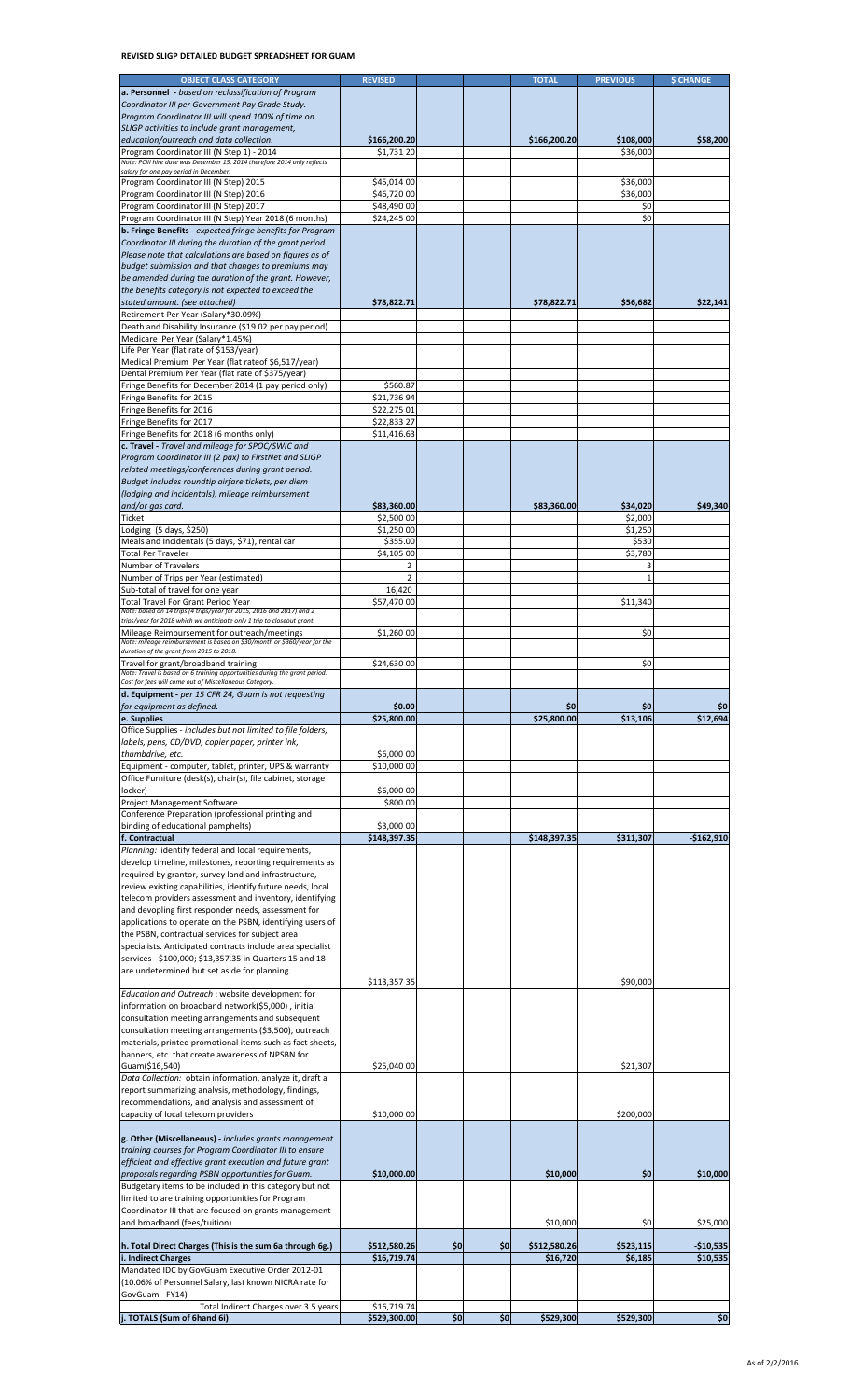# **REVISED SLIGP DETAILED BUDGET SPREADSHEET FOR GUAM**

| <b>OBJECT CLASS CATEGORY</b>                                                                                                                                                                                                                                                                                                                                                                                                                                                                                                                                                                                                                                                                                                                                                                                                                                                                                                                                                                                                                                                                                                                                                                                                                                                                                                                                                                                                                                                                                                                                                                                                                                                                                                                                                                                                                                                                                                                                                                                                                                                                                                                                                                                | <b>REVISED</b>              |     |     | <b>TOTAL</b> | <b>PREVIOUS</b> | <b>\$ CHANGE</b> |
|-------------------------------------------------------------------------------------------------------------------------------------------------------------------------------------------------------------------------------------------------------------------------------------------------------------------------------------------------------------------------------------------------------------------------------------------------------------------------------------------------------------------------------------------------------------------------------------------------------------------------------------------------------------------------------------------------------------------------------------------------------------------------------------------------------------------------------------------------------------------------------------------------------------------------------------------------------------------------------------------------------------------------------------------------------------------------------------------------------------------------------------------------------------------------------------------------------------------------------------------------------------------------------------------------------------------------------------------------------------------------------------------------------------------------------------------------------------------------------------------------------------------------------------------------------------------------------------------------------------------------------------------------------------------------------------------------------------------------------------------------------------------------------------------------------------------------------------------------------------------------------------------------------------------------------------------------------------------------------------------------------------------------------------------------------------------------------------------------------------------------------------------------------------------------------------------------------------|-----------------------------|-----|-----|--------------|-----------------|------------------|
| a. Personnel - based on reclassification of Program                                                                                                                                                                                                                                                                                                                                                                                                                                                                                                                                                                                                                                                                                                                                                                                                                                                                                                                                                                                                                                                                                                                                                                                                                                                                                                                                                                                                                                                                                                                                                                                                                                                                                                                                                                                                                                                                                                                                                                                                                                                                                                                                                         |                             |     |     |              |                 |                  |
| Coordinator III per Government Pay Grade Study.                                                                                                                                                                                                                                                                                                                                                                                                                                                                                                                                                                                                                                                                                                                                                                                                                                                                                                                                                                                                                                                                                                                                                                                                                                                                                                                                                                                                                                                                                                                                                                                                                                                                                                                                                                                                                                                                                                                                                                                                                                                                                                                                                             |                             |     |     |              |                 |                  |
| Program Coordinator III will spend 100% of time on                                                                                                                                                                                                                                                                                                                                                                                                                                                                                                                                                                                                                                                                                                                                                                                                                                                                                                                                                                                                                                                                                                                                                                                                                                                                                                                                                                                                                                                                                                                                                                                                                                                                                                                                                                                                                                                                                                                                                                                                                                                                                                                                                          |                             |     |     |              |                 |                  |
| SLIGP activities to include grant management,                                                                                                                                                                                                                                                                                                                                                                                                                                                                                                                                                                                                                                                                                                                                                                                                                                                                                                                                                                                                                                                                                                                                                                                                                                                                                                                                                                                                                                                                                                                                                                                                                                                                                                                                                                                                                                                                                                                                                                                                                                                                                                                                                               |                             |     |     |              |                 |                  |
| education/outreach and data collection.                                                                                                                                                                                                                                                                                                                                                                                                                                                                                                                                                                                                                                                                                                                                                                                                                                                                                                                                                                                                                                                                                                                                                                                                                                                                                                                                                                                                                                                                                                                                                                                                                                                                                                                                                                                                                                                                                                                                                                                                                                                                                                                                                                     | \$166,200.20                |     |     | \$166,200.20 | \$108,000       | \$58,200         |
| Program Coordinator III (N Step 1) - 2014                                                                                                                                                                                                                                                                                                                                                                                                                                                                                                                                                                                                                                                                                                                                                                                                                                                                                                                                                                                                                                                                                                                                                                                                                                                                                                                                                                                                                                                                                                                                                                                                                                                                                                                                                                                                                                                                                                                                                                                                                                                                                                                                                                   |                             |     |     |              |                 |                  |
| Note: PCIII hire date was December 15, 2014 therefore 2014 only reflects                                                                                                                                                                                                                                                                                                                                                                                                                                                                                                                                                                                                                                                                                                                                                                                                                                                                                                                                                                                                                                                                                                                                                                                                                                                                                                                                                                                                                                                                                                                                                                                                                                                                                                                                                                                                                                                                                                                                                                                                                                                                                                                                    | \$1,731 20                  |     |     |              | \$36,000        |                  |
| salary for one pay period in December.                                                                                                                                                                                                                                                                                                                                                                                                                                                                                                                                                                                                                                                                                                                                                                                                                                                                                                                                                                                                                                                                                                                                                                                                                                                                                                                                                                                                                                                                                                                                                                                                                                                                                                                                                                                                                                                                                                                                                                                                                                                                                                                                                                      |                             |     |     |              |                 |                  |
| Program Coordinator III (N Step) 2015                                                                                                                                                                                                                                                                                                                                                                                                                                                                                                                                                                                                                                                                                                                                                                                                                                                                                                                                                                                                                                                                                                                                                                                                                                                                                                                                                                                                                                                                                                                                                                                                                                                                                                                                                                                                                                                                                                                                                                                                                                                                                                                                                                       | \$45,014 00                 |     |     |              | \$36,000        |                  |
| Program Coordinator III (N Step) 2016                                                                                                                                                                                                                                                                                                                                                                                                                                                                                                                                                                                                                                                                                                                                                                                                                                                                                                                                                                                                                                                                                                                                                                                                                                                                                                                                                                                                                                                                                                                                                                                                                                                                                                                                                                                                                                                                                                                                                                                                                                                                                                                                                                       | \$46,720 00                 |     |     |              | \$36,000        |                  |
|                                                                                                                                                                                                                                                                                                                                                                                                                                                                                                                                                                                                                                                                                                                                                                                                                                                                                                                                                                                                                                                                                                                                                                                                                                                                                                                                                                                                                                                                                                                                                                                                                                                                                                                                                                                                                                                                                                                                                                                                                                                                                                                                                                                                             |                             |     |     |              |                 |                  |
| Program Coordinator III (N Step) 2017                                                                                                                                                                                                                                                                                                                                                                                                                                                                                                                                                                                                                                                                                                                                                                                                                                                                                                                                                                                                                                                                                                                                                                                                                                                                                                                                                                                                                                                                                                                                                                                                                                                                                                                                                                                                                                                                                                                                                                                                                                                                                                                                                                       | \$48,490 00                 |     |     |              | \$0             |                  |
| Program Coordinator III (N Step) Year 2018 (6 months)                                                                                                                                                                                                                                                                                                                                                                                                                                                                                                                                                                                                                                                                                                                                                                                                                                                                                                                                                                                                                                                                                                                                                                                                                                                                                                                                                                                                                                                                                                                                                                                                                                                                                                                                                                                                                                                                                                                                                                                                                                                                                                                                                       | \$24,245 00                 |     |     |              | \$0             |                  |
| <b>b. Fringe Benefits</b> - expected fringe benefits for Program                                                                                                                                                                                                                                                                                                                                                                                                                                                                                                                                                                                                                                                                                                                                                                                                                                                                                                                                                                                                                                                                                                                                                                                                                                                                                                                                                                                                                                                                                                                                                                                                                                                                                                                                                                                                                                                                                                                                                                                                                                                                                                                                            |                             |     |     |              |                 |                  |
| Coordinator III during the duration of the grant period.                                                                                                                                                                                                                                                                                                                                                                                                                                                                                                                                                                                                                                                                                                                                                                                                                                                                                                                                                                                                                                                                                                                                                                                                                                                                                                                                                                                                                                                                                                                                                                                                                                                                                                                                                                                                                                                                                                                                                                                                                                                                                                                                                    |                             |     |     |              |                 |                  |
| Please note that calculations are based on figures as of                                                                                                                                                                                                                                                                                                                                                                                                                                                                                                                                                                                                                                                                                                                                                                                                                                                                                                                                                                                                                                                                                                                                                                                                                                                                                                                                                                                                                                                                                                                                                                                                                                                                                                                                                                                                                                                                                                                                                                                                                                                                                                                                                    |                             |     |     |              |                 |                  |
| budget submission and that changes to premiums may                                                                                                                                                                                                                                                                                                                                                                                                                                                                                                                                                                                                                                                                                                                                                                                                                                                                                                                                                                                                                                                                                                                                                                                                                                                                                                                                                                                                                                                                                                                                                                                                                                                                                                                                                                                                                                                                                                                                                                                                                                                                                                                                                          |                             |     |     |              |                 |                  |
| be amended during the duration of the grant. However,                                                                                                                                                                                                                                                                                                                                                                                                                                                                                                                                                                                                                                                                                                                                                                                                                                                                                                                                                                                                                                                                                                                                                                                                                                                                                                                                                                                                                                                                                                                                                                                                                                                                                                                                                                                                                                                                                                                                                                                                                                                                                                                                                       |                             |     |     |              |                 |                  |
|                                                                                                                                                                                                                                                                                                                                                                                                                                                                                                                                                                                                                                                                                                                                                                                                                                                                                                                                                                                                                                                                                                                                                                                                                                                                                                                                                                                                                                                                                                                                                                                                                                                                                                                                                                                                                                                                                                                                                                                                                                                                                                                                                                                                             |                             |     |     |              |                 |                  |
| the benefits category is not expected to exceed the                                                                                                                                                                                                                                                                                                                                                                                                                                                                                                                                                                                                                                                                                                                                                                                                                                                                                                                                                                                                                                                                                                                                                                                                                                                                                                                                                                                                                                                                                                                                                                                                                                                                                                                                                                                                                                                                                                                                                                                                                                                                                                                                                         |                             |     |     |              |                 |                  |
| stated amount. (see attached)                                                                                                                                                                                                                                                                                                                                                                                                                                                                                                                                                                                                                                                                                                                                                                                                                                                                                                                                                                                                                                                                                                                                                                                                                                                                                                                                                                                                                                                                                                                                                                                                                                                                                                                                                                                                                                                                                                                                                                                                                                                                                                                                                                               | \$78,822.71                 |     |     | \$78,822.71  | \$56,682        | \$22,141         |
| Retirement Per Year (Salary*30.09%)                                                                                                                                                                                                                                                                                                                                                                                                                                                                                                                                                                                                                                                                                                                                                                                                                                                                                                                                                                                                                                                                                                                                                                                                                                                                                                                                                                                                                                                                                                                                                                                                                                                                                                                                                                                                                                                                                                                                                                                                                                                                                                                                                                         |                             |     |     |              |                 |                  |
| Death and Disability Insurance (\$19.02 per pay period)                                                                                                                                                                                                                                                                                                                                                                                                                                                                                                                                                                                                                                                                                                                                                                                                                                                                                                                                                                                                                                                                                                                                                                                                                                                                                                                                                                                                                                                                                                                                                                                                                                                                                                                                                                                                                                                                                                                                                                                                                                                                                                                                                     |                             |     |     |              |                 |                  |
| Medicare Per Year (Salary*1.45%)                                                                                                                                                                                                                                                                                                                                                                                                                                                                                                                                                                                                                                                                                                                                                                                                                                                                                                                                                                                                                                                                                                                                                                                                                                                                                                                                                                                                                                                                                                                                                                                                                                                                                                                                                                                                                                                                                                                                                                                                                                                                                                                                                                            |                             |     |     |              |                 |                  |
| Life Per Year (flat rate of \$153/year)                                                                                                                                                                                                                                                                                                                                                                                                                                                                                                                                                                                                                                                                                                                                                                                                                                                                                                                                                                                                                                                                                                                                                                                                                                                                                                                                                                                                                                                                                                                                                                                                                                                                                                                                                                                                                                                                                                                                                                                                                                                                                                                                                                     |                             |     |     |              |                 |                  |
| Medical Premium Per Year (flat rateof \$6,517/year)                                                                                                                                                                                                                                                                                                                                                                                                                                                                                                                                                                                                                                                                                                                                                                                                                                                                                                                                                                                                                                                                                                                                                                                                                                                                                                                                                                                                                                                                                                                                                                                                                                                                                                                                                                                                                                                                                                                                                                                                                                                                                                                                                         |                             |     |     |              |                 |                  |
| Dental Premium Per Year (flat rate of \$375/year)                                                                                                                                                                                                                                                                                                                                                                                                                                                                                                                                                                                                                                                                                                                                                                                                                                                                                                                                                                                                                                                                                                                                                                                                                                                                                                                                                                                                                                                                                                                                                                                                                                                                                                                                                                                                                                                                                                                                                                                                                                                                                                                                                           |                             |     |     |              |                 |                  |
|                                                                                                                                                                                                                                                                                                                                                                                                                                                                                                                                                                                                                                                                                                                                                                                                                                                                                                                                                                                                                                                                                                                                                                                                                                                                                                                                                                                                                                                                                                                                                                                                                                                                                                                                                                                                                                                                                                                                                                                                                                                                                                                                                                                                             |                             |     |     |              |                 |                  |
| Fringe Benefits for December 2014 (1 pay period only)                                                                                                                                                                                                                                                                                                                                                                                                                                                                                                                                                                                                                                                                                                                                                                                                                                                                                                                                                                                                                                                                                                                                                                                                                                                                                                                                                                                                                                                                                                                                                                                                                                                                                                                                                                                                                                                                                                                                                                                                                                                                                                                                                       | \$560.87                    |     |     |              |                 |                  |
| Fringe Benefits for 2015                                                                                                                                                                                                                                                                                                                                                                                                                                                                                                                                                                                                                                                                                                                                                                                                                                                                                                                                                                                                                                                                                                                                                                                                                                                                                                                                                                                                                                                                                                                                                                                                                                                                                                                                                                                                                                                                                                                                                                                                                                                                                                                                                                                    | \$21,736 94                 |     |     |              |                 |                  |
| Fringe Benefits for 2016                                                                                                                                                                                                                                                                                                                                                                                                                                                                                                                                                                                                                                                                                                                                                                                                                                                                                                                                                                                                                                                                                                                                                                                                                                                                                                                                                                                                                                                                                                                                                                                                                                                                                                                                                                                                                                                                                                                                                                                                                                                                                                                                                                                    | \$22,275 01                 |     |     |              |                 |                  |
| Fringe Benefits for 2017                                                                                                                                                                                                                                                                                                                                                                                                                                                                                                                                                                                                                                                                                                                                                                                                                                                                                                                                                                                                                                                                                                                                                                                                                                                                                                                                                                                                                                                                                                                                                                                                                                                                                                                                                                                                                                                                                                                                                                                                                                                                                                                                                                                    | \$22,833 27                 |     |     |              |                 |                  |
| Fringe Benefits for 2018 (6 months only)                                                                                                                                                                                                                                                                                                                                                                                                                                                                                                                                                                                                                                                                                                                                                                                                                                                                                                                                                                                                                                                                                                                                                                                                                                                                                                                                                                                                                                                                                                                                                                                                                                                                                                                                                                                                                                                                                                                                                                                                                                                                                                                                                                    | \$11,416.63                 |     |     |              |                 |                  |
| c. Travel - Travel and mileage for SPOC/SWIC and                                                                                                                                                                                                                                                                                                                                                                                                                                                                                                                                                                                                                                                                                                                                                                                                                                                                                                                                                                                                                                                                                                                                                                                                                                                                                                                                                                                                                                                                                                                                                                                                                                                                                                                                                                                                                                                                                                                                                                                                                                                                                                                                                            |                             |     |     |              |                 |                  |
| Program Coordinator III (2 pax) to FirstNet and SLIGP                                                                                                                                                                                                                                                                                                                                                                                                                                                                                                                                                                                                                                                                                                                                                                                                                                                                                                                                                                                                                                                                                                                                                                                                                                                                                                                                                                                                                                                                                                                                                                                                                                                                                                                                                                                                                                                                                                                                                                                                                                                                                                                                                       |                             |     |     |              |                 |                  |
|                                                                                                                                                                                                                                                                                                                                                                                                                                                                                                                                                                                                                                                                                                                                                                                                                                                                                                                                                                                                                                                                                                                                                                                                                                                                                                                                                                                                                                                                                                                                                                                                                                                                                                                                                                                                                                                                                                                                                                                                                                                                                                                                                                                                             |                             |     |     |              |                 |                  |
| related meetings/conferences during grant period.                                                                                                                                                                                                                                                                                                                                                                                                                                                                                                                                                                                                                                                                                                                                                                                                                                                                                                                                                                                                                                                                                                                                                                                                                                                                                                                                                                                                                                                                                                                                                                                                                                                                                                                                                                                                                                                                                                                                                                                                                                                                                                                                                           |                             |     |     |              |                 |                  |
| Budget includes roundtip airfare tickets, per diem                                                                                                                                                                                                                                                                                                                                                                                                                                                                                                                                                                                                                                                                                                                                                                                                                                                                                                                                                                                                                                                                                                                                                                                                                                                                                                                                                                                                                                                                                                                                                                                                                                                                                                                                                                                                                                                                                                                                                                                                                                                                                                                                                          |                             |     |     |              |                 |                  |
| (lodging and incidentals), mileage reimbursement                                                                                                                                                                                                                                                                                                                                                                                                                                                                                                                                                                                                                                                                                                                                                                                                                                                                                                                                                                                                                                                                                                                                                                                                                                                                                                                                                                                                                                                                                                                                                                                                                                                                                                                                                                                                                                                                                                                                                                                                                                                                                                                                                            |                             |     |     |              |                 |                  |
| and/or gas card.                                                                                                                                                                                                                                                                                                                                                                                                                                                                                                                                                                                                                                                                                                                                                                                                                                                                                                                                                                                                                                                                                                                                                                                                                                                                                                                                                                                                                                                                                                                                                                                                                                                                                                                                                                                                                                                                                                                                                                                                                                                                                                                                                                                            | \$83,360.00                 |     |     | \$83,360.00  | \$34,020        | \$49,340         |
| Ticket                                                                                                                                                                                                                                                                                                                                                                                                                                                                                                                                                                                                                                                                                                                                                                                                                                                                                                                                                                                                                                                                                                                                                                                                                                                                                                                                                                                                                                                                                                                                                                                                                                                                                                                                                                                                                                                                                                                                                                                                                                                                                                                                                                                                      | \$2,500 00                  |     |     |              | \$2,000         |                  |
| Lodging (5 days, \$250)                                                                                                                                                                                                                                                                                                                                                                                                                                                                                                                                                                                                                                                                                                                                                                                                                                                                                                                                                                                                                                                                                                                                                                                                                                                                                                                                                                                                                                                                                                                                                                                                                                                                                                                                                                                                                                                                                                                                                                                                                                                                                                                                                                                     | \$1,250 00                  |     |     |              | \$1,250         |                  |
| Meals and Incidentals (5 days, \$71), rental car                                                                                                                                                                                                                                                                                                                                                                                                                                                                                                                                                                                                                                                                                                                                                                                                                                                                                                                                                                                                                                                                                                                                                                                                                                                                                                                                                                                                                                                                                                                                                                                                                                                                                                                                                                                                                                                                                                                                                                                                                                                                                                                                                            | \$355.00                    |     |     |              | \$530           |                  |
| <b>Total Per Traveler</b>                                                                                                                                                                                                                                                                                                                                                                                                                                                                                                                                                                                                                                                                                                                                                                                                                                                                                                                                                                                                                                                                                                                                                                                                                                                                                                                                                                                                                                                                                                                                                                                                                                                                                                                                                                                                                                                                                                                                                                                                                                                                                                                                                                                   |                             |     |     |              |                 |                  |
|                                                                                                                                                                                                                                                                                                                                                                                                                                                                                                                                                                                                                                                                                                                                                                                                                                                                                                                                                                                                                                                                                                                                                                                                                                                                                                                                                                                                                                                                                                                                                                                                                                                                                                                                                                                                                                                                                                                                                                                                                                                                                                                                                                                                             | \$4,105 00                  |     |     |              | \$3,780         |                  |
| Number of Travelers                                                                                                                                                                                                                                                                                                                                                                                                                                                                                                                                                                                                                                                                                                                                                                                                                                                                                                                                                                                                                                                                                                                                                                                                                                                                                                                                                                                                                                                                                                                                                                                                                                                                                                                                                                                                                                                                                                                                                                                                                                                                                                                                                                                         | 2                           |     |     |              |                 |                  |
| Number of Trips per Year (estimated)                                                                                                                                                                                                                                                                                                                                                                                                                                                                                                                                                                                                                                                                                                                                                                                                                                                                                                                                                                                                                                                                                                                                                                                                                                                                                                                                                                                                                                                                                                                                                                                                                                                                                                                                                                                                                                                                                                                                                                                                                                                                                                                                                                        | $\overline{2}$              |     |     |              | $\mathbf{1}$    |                  |
| Sub-total of travel for one year                                                                                                                                                                                                                                                                                                                                                                                                                                                                                                                                                                                                                                                                                                                                                                                                                                                                                                                                                                                                                                                                                                                                                                                                                                                                                                                                                                                                                                                                                                                                                                                                                                                                                                                                                                                                                                                                                                                                                                                                                                                                                                                                                                            | 16,420                      |     |     |              |                 |                  |
| <b>Total Travel For Grant Period Year</b>                                                                                                                                                                                                                                                                                                                                                                                                                                                                                                                                                                                                                                                                                                                                                                                                                                                                                                                                                                                                                                                                                                                                                                                                                                                                                                                                                                                                                                                                                                                                                                                                                                                                                                                                                                                                                                                                                                                                                                                                                                                                                                                                                                   | \$57,470 00                 |     |     |              | \$11,340        |                  |
| Note: based on 14 trips (4 trips/year for 2015, 2016 and 2017) and 2                                                                                                                                                                                                                                                                                                                                                                                                                                                                                                                                                                                                                                                                                                                                                                                                                                                                                                                                                                                                                                                                                                                                                                                                                                                                                                                                                                                                                                                                                                                                                                                                                                                                                                                                                                                                                                                                                                                                                                                                                                                                                                                                        |                             |     |     |              |                 |                  |
| trips/year for 2018 which we anticipate only 1 trip to closeout grant.                                                                                                                                                                                                                                                                                                                                                                                                                                                                                                                                                                                                                                                                                                                                                                                                                                                                                                                                                                                                                                                                                                                                                                                                                                                                                                                                                                                                                                                                                                                                                                                                                                                                                                                                                                                                                                                                                                                                                                                                                                                                                                                                      |                             |     |     |              |                 |                  |
| Mileage Reimbursement for outreach/meetings                                                                                                                                                                                                                                                                                                                                                                                                                                                                                                                                                                                                                                                                                                                                                                                                                                                                                                                                                                                                                                                                                                                                                                                                                                                                                                                                                                                                                                                                                                                                                                                                                                                                                                                                                                                                                                                                                                                                                                                                                                                                                                                                                                 | \$1,260 00                  |     |     |              | \$0             |                  |
| Note: mileage reimbursement is based on \$30/month or \$360/year for the                                                                                                                                                                                                                                                                                                                                                                                                                                                                                                                                                                                                                                                                                                                                                                                                                                                                                                                                                                                                                                                                                                                                                                                                                                                                                                                                                                                                                                                                                                                                                                                                                                                                                                                                                                                                                                                                                                                                                                                                                                                                                                                                    |                             |     |     |              |                 |                  |
| duration of the grant from 2015 to 2018.                                                                                                                                                                                                                                                                                                                                                                                                                                                                                                                                                                                                                                                                                                                                                                                                                                                                                                                                                                                                                                                                                                                                                                                                                                                                                                                                                                                                                                                                                                                                                                                                                                                                                                                                                                                                                                                                                                                                                                                                                                                                                                                                                                    |                             |     |     |              |                 |                  |
| Travel for grant/broadband training                                                                                                                                                                                                                                                                                                                                                                                                                                                                                                                                                                                                                                                                                                                                                                                                                                                                                                                                                                                                                                                                                                                                                                                                                                                                                                                                                                                                                                                                                                                                                                                                                                                                                                                                                                                                                                                                                                                                                                                                                                                                                                                                                                         | \$24,630 00                 |     |     |              | \$0             |                  |
| Note: Travel is based on 6 training opportunities during the grant period.                                                                                                                                                                                                                                                                                                                                                                                                                                                                                                                                                                                                                                                                                                                                                                                                                                                                                                                                                                                                                                                                                                                                                                                                                                                                                                                                                                                                                                                                                                                                                                                                                                                                                                                                                                                                                                                                                                                                                                                                                                                                                                                                  |                             |     |     |              |                 |                  |
| Cost for fees will come out of Miscellaneous Category.                                                                                                                                                                                                                                                                                                                                                                                                                                                                                                                                                                                                                                                                                                                                                                                                                                                                                                                                                                                                                                                                                                                                                                                                                                                                                                                                                                                                                                                                                                                                                                                                                                                                                                                                                                                                                                                                                                                                                                                                                                                                                                                                                      |                             |     |     |              |                 |                  |
| d. Equipment - per 15 CFR 24, Guam is not requesting                                                                                                                                                                                                                                                                                                                                                                                                                                                                                                                                                                                                                                                                                                                                                                                                                                                                                                                                                                                                                                                                                                                                                                                                                                                                                                                                                                                                                                                                                                                                                                                                                                                                                                                                                                                                                                                                                                                                                                                                                                                                                                                                                        |                             |     |     |              |                 |                  |
|                                                                                                                                                                                                                                                                                                                                                                                                                                                                                                                                                                                                                                                                                                                                                                                                                                                                                                                                                                                                                                                                                                                                                                                                                                                                                                                                                                                                                                                                                                                                                                                                                                                                                                                                                                                                                                                                                                                                                                                                                                                                                                                                                                                                             |                             |     |     |              |                 |                  |
| for equipment as defined.                                                                                                                                                                                                                                                                                                                                                                                                                                                                                                                                                                                                                                                                                                                                                                                                                                                                                                                                                                                                                                                                                                                                                                                                                                                                                                                                                                                                                                                                                                                                                                                                                                                                                                                                                                                                                                                                                                                                                                                                                                                                                                                                                                                   | \$0.00                      |     |     | \$0          | \$0             | \$0              |
|                                                                                                                                                                                                                                                                                                                                                                                                                                                                                                                                                                                                                                                                                                                                                                                                                                                                                                                                                                                                                                                                                                                                                                                                                                                                                                                                                                                                                                                                                                                                                                                                                                                                                                                                                                                                                                                                                                                                                                                                                                                                                                                                                                                                             | \$25,800.00                 |     |     | \$25,800.00  | \$13,106        | \$12,694         |
|                                                                                                                                                                                                                                                                                                                                                                                                                                                                                                                                                                                                                                                                                                                                                                                                                                                                                                                                                                                                                                                                                                                                                                                                                                                                                                                                                                                                                                                                                                                                                                                                                                                                                                                                                                                                                                                                                                                                                                                                                                                                                                                                                                                                             |                             |     |     |              |                 |                  |
|                                                                                                                                                                                                                                                                                                                                                                                                                                                                                                                                                                                                                                                                                                                                                                                                                                                                                                                                                                                                                                                                                                                                                                                                                                                                                                                                                                                                                                                                                                                                                                                                                                                                                                                                                                                                                                                                                                                                                                                                                                                                                                                                                                                                             |                             |     |     |              |                 |                  |
|                                                                                                                                                                                                                                                                                                                                                                                                                                                                                                                                                                                                                                                                                                                                                                                                                                                                                                                                                                                                                                                                                                                                                                                                                                                                                                                                                                                                                                                                                                                                                                                                                                                                                                                                                                                                                                                                                                                                                                                                                                                                                                                                                                                                             |                             |     |     |              |                 |                  |
|                                                                                                                                                                                                                                                                                                                                                                                                                                                                                                                                                                                                                                                                                                                                                                                                                                                                                                                                                                                                                                                                                                                                                                                                                                                                                                                                                                                                                                                                                                                                                                                                                                                                                                                                                                                                                                                                                                                                                                                                                                                                                                                                                                                                             | \$6,000 00                  |     |     |              |                 |                  |
|                                                                                                                                                                                                                                                                                                                                                                                                                                                                                                                                                                                                                                                                                                                                                                                                                                                                                                                                                                                                                                                                                                                                                                                                                                                                                                                                                                                                                                                                                                                                                                                                                                                                                                                                                                                                                                                                                                                                                                                                                                                                                                                                                                                                             | \$10,000 00                 |     |     |              |                 |                  |
|                                                                                                                                                                                                                                                                                                                                                                                                                                                                                                                                                                                                                                                                                                                                                                                                                                                                                                                                                                                                                                                                                                                                                                                                                                                                                                                                                                                                                                                                                                                                                                                                                                                                                                                                                                                                                                                                                                                                                                                                                                                                                                                                                                                                             |                             |     |     |              |                 |                  |
| locker)                                                                                                                                                                                                                                                                                                                                                                                                                                                                                                                                                                                                                                                                                                                                                                                                                                                                                                                                                                                                                                                                                                                                                                                                                                                                                                                                                                                                                                                                                                                                                                                                                                                                                                                                                                                                                                                                                                                                                                                                                                                                                                                                                                                                     | \$6,000 00                  |     |     |              |                 |                  |
|                                                                                                                                                                                                                                                                                                                                                                                                                                                                                                                                                                                                                                                                                                                                                                                                                                                                                                                                                                                                                                                                                                                                                                                                                                                                                                                                                                                                                                                                                                                                                                                                                                                                                                                                                                                                                                                                                                                                                                                                                                                                                                                                                                                                             | \$800.00                    |     |     |              |                 |                  |
|                                                                                                                                                                                                                                                                                                                                                                                                                                                                                                                                                                                                                                                                                                                                                                                                                                                                                                                                                                                                                                                                                                                                                                                                                                                                                                                                                                                                                                                                                                                                                                                                                                                                                                                                                                                                                                                                                                                                                                                                                                                                                                                                                                                                             |                             |     |     |              |                 |                  |
|                                                                                                                                                                                                                                                                                                                                                                                                                                                                                                                                                                                                                                                                                                                                                                                                                                                                                                                                                                                                                                                                                                                                                                                                                                                                                                                                                                                                                                                                                                                                                                                                                                                                                                                                                                                                                                                                                                                                                                                                                                                                                                                                                                                                             |                             |     |     |              |                 |                  |
|                                                                                                                                                                                                                                                                                                                                                                                                                                                                                                                                                                                                                                                                                                                                                                                                                                                                                                                                                                                                                                                                                                                                                                                                                                                                                                                                                                                                                                                                                                                                                                                                                                                                                                                                                                                                                                                                                                                                                                                                                                                                                                                                                                                                             | \$3,000 00                  |     |     |              |                 |                  |
|                                                                                                                                                                                                                                                                                                                                                                                                                                                                                                                                                                                                                                                                                                                                                                                                                                                                                                                                                                                                                                                                                                                                                                                                                                                                                                                                                                                                                                                                                                                                                                                                                                                                                                                                                                                                                                                                                                                                                                                                                                                                                                                                                                                                             | \$148,397.35                |     |     | \$148,397.35 | \$311,307       | $-$162,910$      |
|                                                                                                                                                                                                                                                                                                                                                                                                                                                                                                                                                                                                                                                                                                                                                                                                                                                                                                                                                                                                                                                                                                                                                                                                                                                                                                                                                                                                                                                                                                                                                                                                                                                                                                                                                                                                                                                                                                                                                                                                                                                                                                                                                                                                             |                             |     |     |              |                 |                  |
|                                                                                                                                                                                                                                                                                                                                                                                                                                                                                                                                                                                                                                                                                                                                                                                                                                                                                                                                                                                                                                                                                                                                                                                                                                                                                                                                                                                                                                                                                                                                                                                                                                                                                                                                                                                                                                                                                                                                                                                                                                                                                                                                                                                                             |                             |     |     |              |                 |                  |
|                                                                                                                                                                                                                                                                                                                                                                                                                                                                                                                                                                                                                                                                                                                                                                                                                                                                                                                                                                                                                                                                                                                                                                                                                                                                                                                                                                                                                                                                                                                                                                                                                                                                                                                                                                                                                                                                                                                                                                                                                                                                                                                                                                                                             |                             |     |     |              |                 |                  |
|                                                                                                                                                                                                                                                                                                                                                                                                                                                                                                                                                                                                                                                                                                                                                                                                                                                                                                                                                                                                                                                                                                                                                                                                                                                                                                                                                                                                                                                                                                                                                                                                                                                                                                                                                                                                                                                                                                                                                                                                                                                                                                                                                                                                             |                             |     |     |              |                 |                  |
|                                                                                                                                                                                                                                                                                                                                                                                                                                                                                                                                                                                                                                                                                                                                                                                                                                                                                                                                                                                                                                                                                                                                                                                                                                                                                                                                                                                                                                                                                                                                                                                                                                                                                                                                                                                                                                                                                                                                                                                                                                                                                                                                                                                                             |                             |     |     |              |                 |                  |
|                                                                                                                                                                                                                                                                                                                                                                                                                                                                                                                                                                                                                                                                                                                                                                                                                                                                                                                                                                                                                                                                                                                                                                                                                                                                                                                                                                                                                                                                                                                                                                                                                                                                                                                                                                                                                                                                                                                                                                                                                                                                                                                                                                                                             |                             |     |     |              |                 |                  |
|                                                                                                                                                                                                                                                                                                                                                                                                                                                                                                                                                                                                                                                                                                                                                                                                                                                                                                                                                                                                                                                                                                                                                                                                                                                                                                                                                                                                                                                                                                                                                                                                                                                                                                                                                                                                                                                                                                                                                                                                                                                                                                                                                                                                             |                             |     |     |              |                 |                  |
|                                                                                                                                                                                                                                                                                                                                                                                                                                                                                                                                                                                                                                                                                                                                                                                                                                                                                                                                                                                                                                                                                                                                                                                                                                                                                                                                                                                                                                                                                                                                                                                                                                                                                                                                                                                                                                                                                                                                                                                                                                                                                                                                                                                                             |                             |     |     |              |                 |                  |
|                                                                                                                                                                                                                                                                                                                                                                                                                                                                                                                                                                                                                                                                                                                                                                                                                                                                                                                                                                                                                                                                                                                                                                                                                                                                                                                                                                                                                                                                                                                                                                                                                                                                                                                                                                                                                                                                                                                                                                                                                                                                                                                                                                                                             |                             |     |     |              |                 |                  |
|                                                                                                                                                                                                                                                                                                                                                                                                                                                                                                                                                                                                                                                                                                                                                                                                                                                                                                                                                                                                                                                                                                                                                                                                                                                                                                                                                                                                                                                                                                                                                                                                                                                                                                                                                                                                                                                                                                                                                                                                                                                                                                                                                                                                             |                             |     |     |              |                 |                  |
|                                                                                                                                                                                                                                                                                                                                                                                                                                                                                                                                                                                                                                                                                                                                                                                                                                                                                                                                                                                                                                                                                                                                                                                                                                                                                                                                                                                                                                                                                                                                                                                                                                                                                                                                                                                                                                                                                                                                                                                                                                                                                                                                                                                                             |                             |     |     |              |                 |                  |
|                                                                                                                                                                                                                                                                                                                                                                                                                                                                                                                                                                                                                                                                                                                                                                                                                                                                                                                                                                                                                                                                                                                                                                                                                                                                                                                                                                                                                                                                                                                                                                                                                                                                                                                                                                                                                                                                                                                                                                                                                                                                                                                                                                                                             |                             |     |     |              |                 |                  |
|                                                                                                                                                                                                                                                                                                                                                                                                                                                                                                                                                                                                                                                                                                                                                                                                                                                                                                                                                                                                                                                                                                                                                                                                                                                                                                                                                                                                                                                                                                                                                                                                                                                                                                                                                                                                                                                                                                                                                                                                                                                                                                                                                                                                             | \$113,357 35                |     |     |              | \$90,000        |                  |
|                                                                                                                                                                                                                                                                                                                                                                                                                                                                                                                                                                                                                                                                                                                                                                                                                                                                                                                                                                                                                                                                                                                                                                                                                                                                                                                                                                                                                                                                                                                                                                                                                                                                                                                                                                                                                                                                                                                                                                                                                                                                                                                                                                                                             |                             |     |     |              |                 |                  |
|                                                                                                                                                                                                                                                                                                                                                                                                                                                                                                                                                                                                                                                                                                                                                                                                                                                                                                                                                                                                                                                                                                                                                                                                                                                                                                                                                                                                                                                                                                                                                                                                                                                                                                                                                                                                                                                                                                                                                                                                                                                                                                                                                                                                             |                             |     |     |              |                 |                  |
|                                                                                                                                                                                                                                                                                                                                                                                                                                                                                                                                                                                                                                                                                                                                                                                                                                                                                                                                                                                                                                                                                                                                                                                                                                                                                                                                                                                                                                                                                                                                                                                                                                                                                                                                                                                                                                                                                                                                                                                                                                                                                                                                                                                                             |                             |     |     |              |                 |                  |
|                                                                                                                                                                                                                                                                                                                                                                                                                                                                                                                                                                                                                                                                                                                                                                                                                                                                                                                                                                                                                                                                                                                                                                                                                                                                                                                                                                                                                                                                                                                                                                                                                                                                                                                                                                                                                                                                                                                                                                                                                                                                                                                                                                                                             |                             |     |     |              |                 |                  |
|                                                                                                                                                                                                                                                                                                                                                                                                                                                                                                                                                                                                                                                                                                                                                                                                                                                                                                                                                                                                                                                                                                                                                                                                                                                                                                                                                                                                                                                                                                                                                                                                                                                                                                                                                                                                                                                                                                                                                                                                                                                                                                                                                                                                             |                             |     |     |              |                 |                  |
|                                                                                                                                                                                                                                                                                                                                                                                                                                                                                                                                                                                                                                                                                                                                                                                                                                                                                                                                                                                                                                                                                                                                                                                                                                                                                                                                                                                                                                                                                                                                                                                                                                                                                                                                                                                                                                                                                                                                                                                                                                                                                                                                                                                                             |                             |     |     |              |                 |                  |
|                                                                                                                                                                                                                                                                                                                                                                                                                                                                                                                                                                                                                                                                                                                                                                                                                                                                                                                                                                                                                                                                                                                                                                                                                                                                                                                                                                                                                                                                                                                                                                                                                                                                                                                                                                                                                                                                                                                                                                                                                                                                                                                                                                                                             |                             |     |     |              |                 |                  |
|                                                                                                                                                                                                                                                                                                                                                                                                                                                                                                                                                                                                                                                                                                                                                                                                                                                                                                                                                                                                                                                                                                                                                                                                                                                                                                                                                                                                                                                                                                                                                                                                                                                                                                                                                                                                                                                                                                                                                                                                                                                                                                                                                                                                             | \$25,040 00                 |     |     |              | \$21,307        |                  |
|                                                                                                                                                                                                                                                                                                                                                                                                                                                                                                                                                                                                                                                                                                                                                                                                                                                                                                                                                                                                                                                                                                                                                                                                                                                                                                                                                                                                                                                                                                                                                                                                                                                                                                                                                                                                                                                                                                                                                                                                                                                                                                                                                                                                             |                             |     |     |              |                 |                  |
|                                                                                                                                                                                                                                                                                                                                                                                                                                                                                                                                                                                                                                                                                                                                                                                                                                                                                                                                                                                                                                                                                                                                                                                                                                                                                                                                                                                                                                                                                                                                                                                                                                                                                                                                                                                                                                                                                                                                                                                                                                                                                                                                                                                                             |                             |     |     |              |                 |                  |
|                                                                                                                                                                                                                                                                                                                                                                                                                                                                                                                                                                                                                                                                                                                                                                                                                                                                                                                                                                                                                                                                                                                                                                                                                                                                                                                                                                                                                                                                                                                                                                                                                                                                                                                                                                                                                                                                                                                                                                                                                                                                                                                                                                                                             |                             |     |     |              |                 |                  |
| capacity of local telecom providers                                                                                                                                                                                                                                                                                                                                                                                                                                                                                                                                                                                                                                                                                                                                                                                                                                                                                                                                                                                                                                                                                                                                                                                                                                                                                                                                                                                                                                                                                                                                                                                                                                                                                                                                                                                                                                                                                                                                                                                                                                                                                                                                                                         | \$10,000 00                 |     |     |              | \$200,000       |                  |
|                                                                                                                                                                                                                                                                                                                                                                                                                                                                                                                                                                                                                                                                                                                                                                                                                                                                                                                                                                                                                                                                                                                                                                                                                                                                                                                                                                                                                                                                                                                                                                                                                                                                                                                                                                                                                                                                                                                                                                                                                                                                                                                                                                                                             |                             |     |     |              |                 |                  |
|                                                                                                                                                                                                                                                                                                                                                                                                                                                                                                                                                                                                                                                                                                                                                                                                                                                                                                                                                                                                                                                                                                                                                                                                                                                                                                                                                                                                                                                                                                                                                                                                                                                                                                                                                                                                                                                                                                                                                                                                                                                                                                                                                                                                             |                             |     |     |              |                 |                  |
|                                                                                                                                                                                                                                                                                                                                                                                                                                                                                                                                                                                                                                                                                                                                                                                                                                                                                                                                                                                                                                                                                                                                                                                                                                                                                                                                                                                                                                                                                                                                                                                                                                                                                                                                                                                                                                                                                                                                                                                                                                                                                                                                                                                                             |                             |     |     |              |                 |                  |
|                                                                                                                                                                                                                                                                                                                                                                                                                                                                                                                                                                                                                                                                                                                                                                                                                                                                                                                                                                                                                                                                                                                                                                                                                                                                                                                                                                                                                                                                                                                                                                                                                                                                                                                                                                                                                                                                                                                                                                                                                                                                                                                                                                                                             |                             |     |     |              |                 |                  |
|                                                                                                                                                                                                                                                                                                                                                                                                                                                                                                                                                                                                                                                                                                                                                                                                                                                                                                                                                                                                                                                                                                                                                                                                                                                                                                                                                                                                                                                                                                                                                                                                                                                                                                                                                                                                                                                                                                                                                                                                                                                                                                                                                                                                             |                             |     |     |              |                 |                  |
|                                                                                                                                                                                                                                                                                                                                                                                                                                                                                                                                                                                                                                                                                                                                                                                                                                                                                                                                                                                                                                                                                                                                                                                                                                                                                                                                                                                                                                                                                                                                                                                                                                                                                                                                                                                                                                                                                                                                                                                                                                                                                                                                                                                                             | \$10,000.00                 |     |     | \$10,000     | \$0             | \$10,000         |
|                                                                                                                                                                                                                                                                                                                                                                                                                                                                                                                                                                                                                                                                                                                                                                                                                                                                                                                                                                                                                                                                                                                                                                                                                                                                                                                                                                                                                                                                                                                                                                                                                                                                                                                                                                                                                                                                                                                                                                                                                                                                                                                                                                                                             |                             |     |     |              |                 |                  |
|                                                                                                                                                                                                                                                                                                                                                                                                                                                                                                                                                                                                                                                                                                                                                                                                                                                                                                                                                                                                                                                                                                                                                                                                                                                                                                                                                                                                                                                                                                                                                                                                                                                                                                                                                                                                                                                                                                                                                                                                                                                                                                                                                                                                             |                             |     |     |              |                 |                  |
|                                                                                                                                                                                                                                                                                                                                                                                                                                                                                                                                                                                                                                                                                                                                                                                                                                                                                                                                                                                                                                                                                                                                                                                                                                                                                                                                                                                                                                                                                                                                                                                                                                                                                                                                                                                                                                                                                                                                                                                                                                                                                                                                                                                                             |                             |     |     |              |                 |                  |
|                                                                                                                                                                                                                                                                                                                                                                                                                                                                                                                                                                                                                                                                                                                                                                                                                                                                                                                                                                                                                                                                                                                                                                                                                                                                                                                                                                                                                                                                                                                                                                                                                                                                                                                                                                                                                                                                                                                                                                                                                                                                                                                                                                                                             |                             |     |     |              |                 |                  |
|                                                                                                                                                                                                                                                                                                                                                                                                                                                                                                                                                                                                                                                                                                                                                                                                                                                                                                                                                                                                                                                                                                                                                                                                                                                                                                                                                                                                                                                                                                                                                                                                                                                                                                                                                                                                                                                                                                                                                                                                                                                                                                                                                                                                             |                             |     |     | \$10,000     | \$0             | \$25,000         |
|                                                                                                                                                                                                                                                                                                                                                                                                                                                                                                                                                                                                                                                                                                                                                                                                                                                                                                                                                                                                                                                                                                                                                                                                                                                                                                                                                                                                                                                                                                                                                                                                                                                                                                                                                                                                                                                                                                                                                                                                                                                                                                                                                                                                             |                             |     |     |              |                 |                  |
|                                                                                                                                                                                                                                                                                                                                                                                                                                                                                                                                                                                                                                                                                                                                                                                                                                                                                                                                                                                                                                                                                                                                                                                                                                                                                                                                                                                                                                                                                                                                                                                                                                                                                                                                                                                                                                                                                                                                                                                                                                                                                                                                                                                                             | \$512,580.26                | \$0 | \$0 | \$512,580.26 | \$523,115       | -\$10,535        |
|                                                                                                                                                                                                                                                                                                                                                                                                                                                                                                                                                                                                                                                                                                                                                                                                                                                                                                                                                                                                                                                                                                                                                                                                                                                                                                                                                                                                                                                                                                                                                                                                                                                                                                                                                                                                                                                                                                                                                                                                                                                                                                                                                                                                             | \$16,719.74                 |     |     | \$16,720     | \$6,185         | \$10,535         |
|                                                                                                                                                                                                                                                                                                                                                                                                                                                                                                                                                                                                                                                                                                                                                                                                                                                                                                                                                                                                                                                                                                                                                                                                                                                                                                                                                                                                                                                                                                                                                                                                                                                                                                                                                                                                                                                                                                                                                                                                                                                                                                                                                                                                             |                             |     |     |              |                 |                  |
| (10.06% of Personnel Salary, last known NICRA rate for                                                                                                                                                                                                                                                                                                                                                                                                                                                                                                                                                                                                                                                                                                                                                                                                                                                                                                                                                                                                                                                                                                                                                                                                                                                                                                                                                                                                                                                                                                                                                                                                                                                                                                                                                                                                                                                                                                                                                                                                                                                                                                                                                      |                             |     |     |              |                 |                  |
| e. Supplies<br>Office Supplies - includes but not limited to file folders,<br>labels, pens, CD/DVD, copier paper, printer ink,<br>thumbdrive, etc.<br>Equipment - computer, tablet, printer, UPS & warranty<br>Office Furniture (desk(s), chair(s), file cabinet, storage<br>Project Management Software<br>Conference Preparation (professional printing and<br>binding of educational pamphelts)<br>f. Contractual<br>Planning: identify federal and local requirements,<br>develop timeline, milestones, reporting requirements as<br>required by grantor, survey land and infrastructure,<br>review existing capabilities, identify future needs, local<br>telecom providers assessment and inventory, identifying<br>and devopling first responder needs, assessment for<br>applications to operate on the PSBN, identifying users of<br>the PSBN, contractual services for subject area<br>specialists. Anticipated contracts include area specialist<br>services - \$100,000; \$13,357.35 in Quarters 15 and 18<br>are undetermined but set aside for planning.<br>Education and Outreach : website development for<br>information on broadband network(\$5,000), initial<br>consultation meeting arrangements and subsequent<br>consultation meeting arrangements (\$3,500), outreach<br>materials, printed promotional items such as fact sheets,<br>banners, etc. that create awareness of NPSBN for<br>Guam(\$16,540)<br>Data Collection: obtain information, analyze it, draft a<br>report summarizing analysis, methodology, findings,<br>recommendations, and analysis and assessment of<br>g. Other (Miscellaneous) - includes grants management<br>training courses for Program Coordinator III to ensure<br>efficient and effective grant execution and future grant<br>proposals regarding PSBN opportunities for Guam.<br>Budgetary items to be included in this category but not<br>limited to are training opportunities for Program<br>Coordinator III that are focused on grants management<br>and broadband (fees/tuition)<br>h. Total Direct Charges (This is the sum 6a through 6g.)<br>i. Indirect Charges<br>Mandated IDC by GovGuam Executive Order 2012-01<br>GovGuam - FY14) |                             |     |     |              |                 |                  |
| Total Indirect Charges over 3.5 years<br>j. TOTALS (Sum of 6hand 6i)                                                                                                                                                                                                                                                                                                                                                                                                                                                                                                                                                                                                                                                                                                                                                                                                                                                                                                                                                                                                                                                                                                                                                                                                                                                                                                                                                                                                                                                                                                                                                                                                                                                                                                                                                                                                                                                                                                                                                                                                                                                                                                                                        | \$16,719.74<br>\$529,300.00 | \$0 | \$0 | \$529,300    | \$529,300       | \$0              |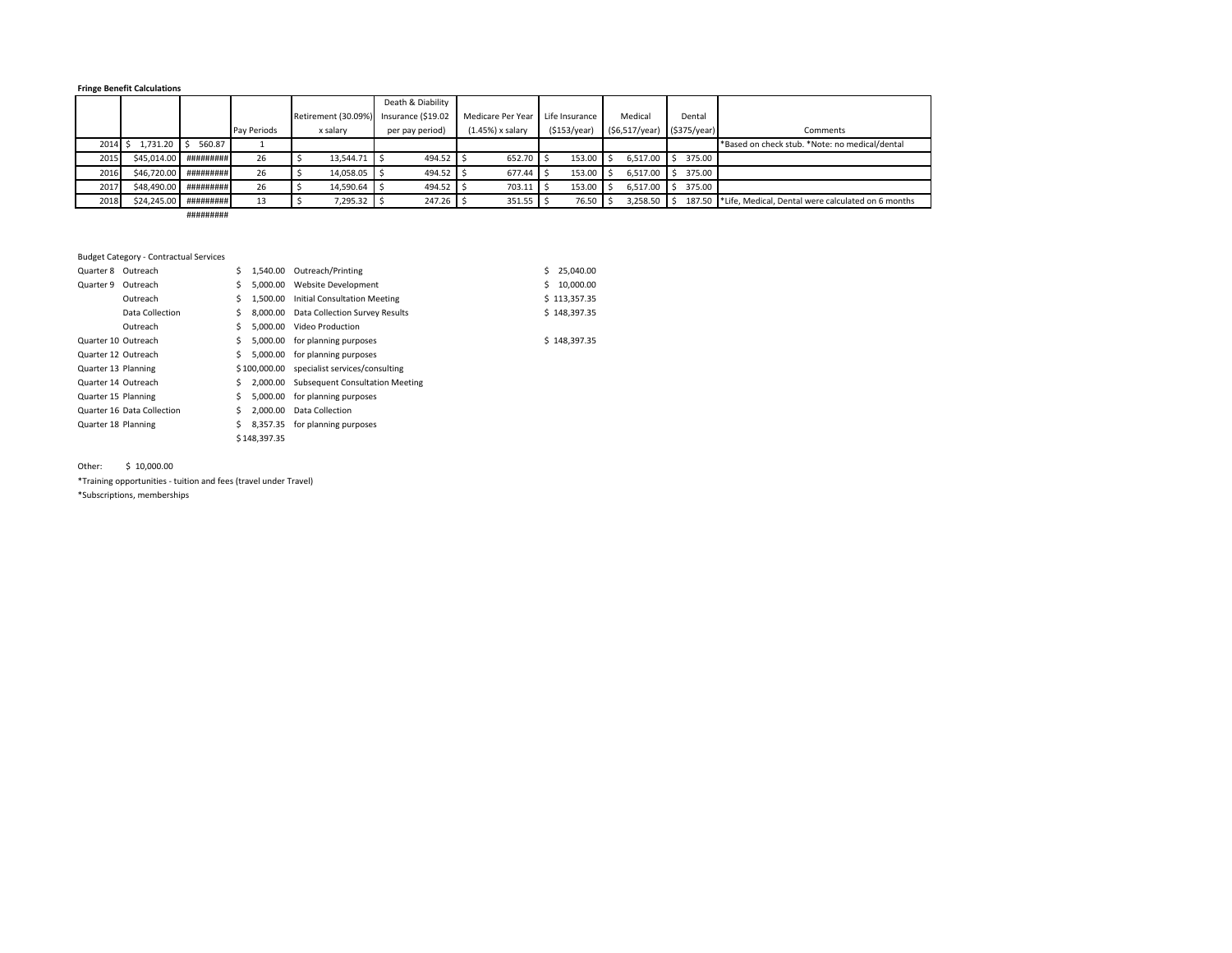#### **Fringe Benefit Calculations**

|      |              |                        |             |                     | Death & Diability  |                    |                |                |             |                                                    |
|------|--------------|------------------------|-------------|---------------------|--------------------|--------------------|----------------|----------------|-------------|----------------------------------------------------|
|      |              |                        |             | Retirement (30.09%) | Insurance (\$19.02 | Medicare Per Year  | Life Insurance | Medical        | Dental      |                                                    |
|      |              |                        | Pay Periods | x salary            | per pay period)    | $(1.45%)$ x salary | (5153/year)    | (\$6,517/year) | (S375/year) | Comments                                           |
| 2014 | $1.731.20$ S | 560.87                 |             |                     |                    |                    |                |                |             | *Based on check stub. *Note: no medical/dental     |
| 2015 |              | \$45.014.00 ########## | 26          | 13.544.71 \$        | 494.52             | 652.70             | 153.00         | 6.517.00       | 375.00      |                                                    |
| 2016 | \$46,720.00  | #########              | 26          | 14,058.05           | 494.52             | 677.44             | 153.00         | 6.517.00       | 375.00      |                                                    |
| 2017 | \$48,490.00  | #########              | 26          | 14,590.64           | 494.52             | 703.11             | 153.00         | 6.517.00       | 375.00      |                                                    |
| 2018 | \$24,245.00  | #########              | 13          | 7,295.32            | 247.26             | 351.55             | 76.50          | 3,258.50       | 187.50      | *Life. Medical. Dental were calculated on 6 months |

#########

#### Budget Category ‐ Contractual Services

| Quarter 8<br>Outreach      | Ś  |              | 1,540.00 Outreach/Printing                  |    | 25.040.00    |
|----------------------------|----|--------------|---------------------------------------------|----|--------------|
| Quarter 9<br>Outreach      | \$ |              | 5.000.00 Website Development                | S. | 10,000.00    |
| Outreach                   | Ś. |              | 1.500.00 Initial Consultation Meeting       |    | \$113,357.35 |
| Data Collection            | S. |              | 8.000.00 Data Collection Survey Results     |    | \$148.397.35 |
| Outreach                   | Ś  |              | 5.000.00 Video Production                   |    |              |
| Quarter 10 Outreach        | S  |              | 5,000.00 for planning purposes              |    | \$148,397.35 |
| Quarter 12 Outreach        | Ś. |              | 5,000.00 for planning purposes              |    |              |
| Quarter 13 Planning        |    |              | \$100,000.00 specialist services/consulting |    |              |
| Quarter 14 Outreach        | S. |              | 2,000.00 Subsequent Consultation Meeting    |    |              |
| Quarter 15 Planning        | S  |              | 5,000.00 for planning purposes              |    |              |
| Quarter 16 Data Collection | S  | 2.000.00     | Data Collection                             |    |              |
| Quarter 18 Planning        | S  | 8.357.35     | for planning purposes                       |    |              |
|                            |    | \$148,397.35 |                                             |    |              |

Other: \$ 10,000.00

\*Training opportunities ‐ tuition and fees (travel under Travel) \*Subscriptions, memberships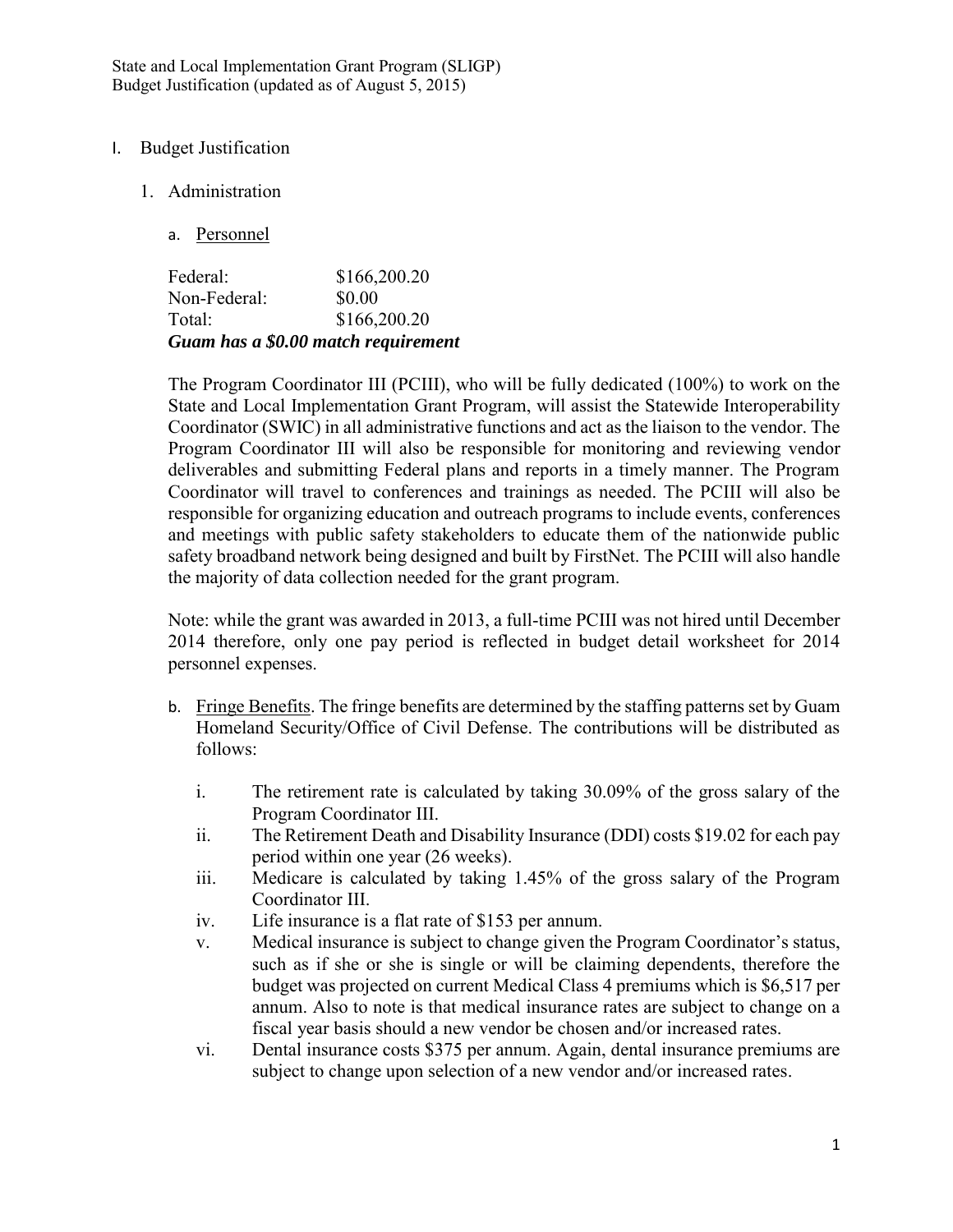State and Local Implementation Grant Program (SLIGP) Budget Justification (updated as of August 5, 2015)

# I. Budget Justification

- 1. Administration
	- a. Personnel

|              | Guam has a \$0.00 match requirement |
|--------------|-------------------------------------|
| Total:       | \$166,200.20                        |
| Non-Federal: | \$0.00                              |
| Federal:     | \$166,200.20                        |

The Program Coordinator III (PCIII), who will be fully dedicated (100%) to work on the State and Local Implementation Grant Program, will assist the Statewide Interoperability Coordinator (SWIC) in all administrative functions and act as the liaison to the vendor. The Program Coordinator III will also be responsible for monitoring and reviewing vendor deliverables and submitting Federal plans and reports in a timely manner. The Program Coordinator will travel to conferences and trainings as needed. The PCIII will also be responsible for organizing education and outreach programs to include events, conferences and meetings with public safety stakeholders to educate them of the nationwide public safety broadband network being designed and built by FirstNet. The PCIII will also handle the majority of data collection needed for the grant program.

Note: while the grant was awarded in 2013, a full-time PCIII was not hired until December 2014 therefore, only one pay period is reflected in budget detail worksheet for 2014 personnel expenses.

- b. Fringe Benefits. The fringe benefits are determined by the staffing patterns set by Guam Homeland Security/Office of Civil Defense. The contributions will be distributed as follows:
	- i. The retirement rate is calculated by taking 30.09% of the gross salary of the Program Coordinator III.
	- ii. The Retirement Death and Disability Insurance (DDI) costs \$19.02 for each pay period within one year (26 weeks).
	- iii. Medicare is calculated by taking 1.45% of the gross salary of the Program Coordinator III.
	- iv. Life insurance is a flat rate of \$153 per annum.
	- v. Medical insurance is subject to change given the Program Coordinator's status, such as if she or she is single or will be claiming dependents, therefore the budget was projected on current Medical Class 4 premiums which is \$6,517 per annum. Also to note is that medical insurance rates are subject to change on a fiscal year basis should a new vendor be chosen and/or increased rates.
	- vi. Dental insurance costs \$375 per annum. Again, dental insurance premiums are subject to change upon selection of a new vendor and/or increased rates.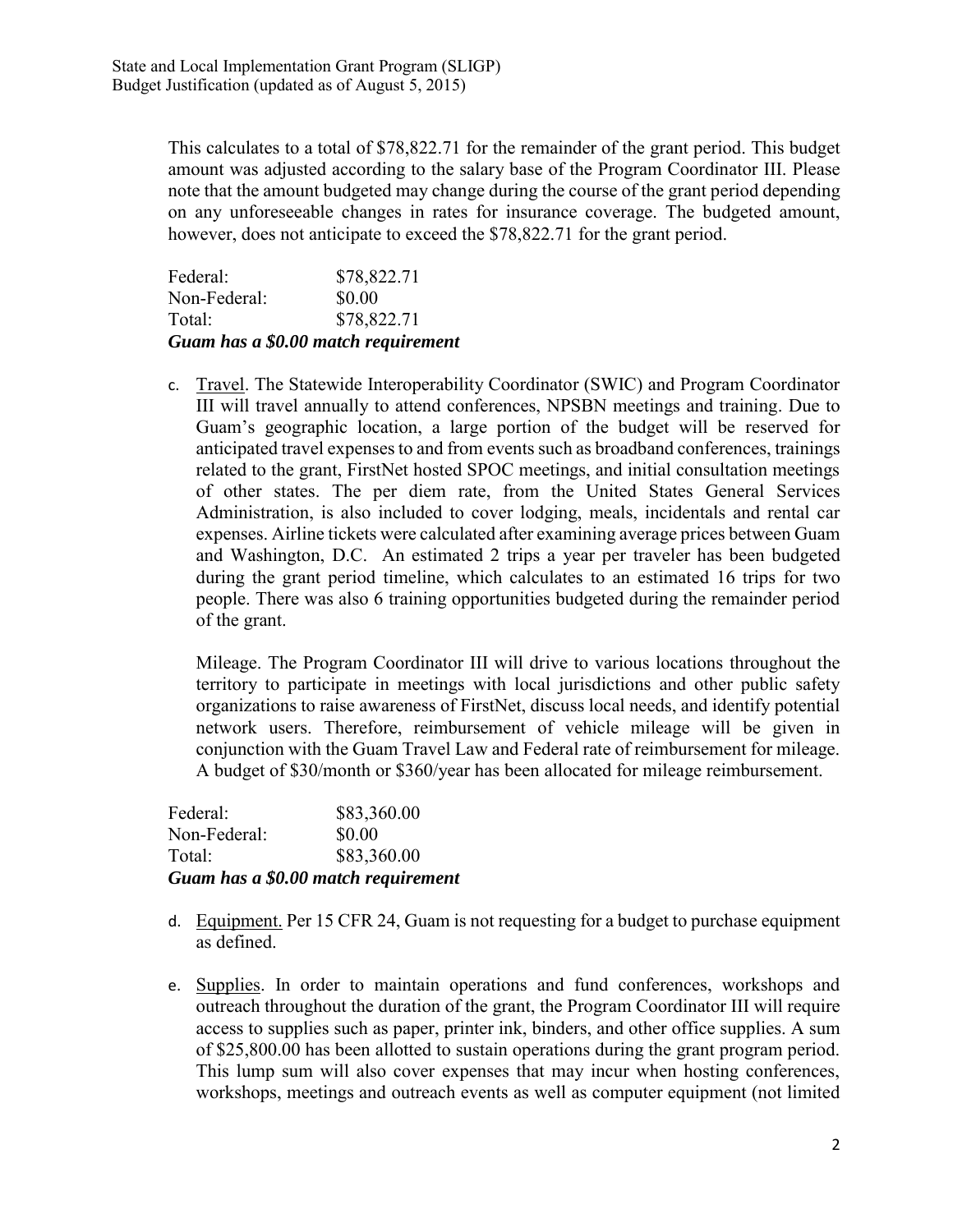This calculates to a total of \$78,822.71 for the remainder of the grant period. This budget amount was adjusted according to the salary base of the Program Coordinator III. Please note that the amount budgeted may change during the course of the grant period depending on any unforeseeable changes in rates for insurance coverage. The budgeted amount, however, does not anticipate to exceed the \$78,822.71 for the grant period.

Federal: \$78,822.71 Non-Federal: \$0.00 Total: \$78,822.71 *Guam has a \$0.00 match requirement* 

c. Travel. The Statewide Interoperability Coordinator (SWIC) and Program Coordinator III will travel annually to attend conferences, NPSBN meetings and training. Due to Guam's geographic location, a large portion of the budget will be reserved for anticipated travel expenses to and from events such as broadband conferences, trainings related to the grant, FirstNet hosted SPOC meetings, and initial consultation meetings of other states. The per diem rate, from the United States General Services Administration, is also included to cover lodging, meals, incidentals and rental car expenses. Airline tickets were calculated after examining average prices between Guam and Washington, D.C. An estimated 2 trips a year per traveler has been budgeted during the grant period timeline, which calculates to an estimated 16 trips for two people. There was also 6 training opportunities budgeted during the remainder period of the grant.

Mileage. The Program Coordinator III will drive to various locations throughout the territory to participate in meetings with local jurisdictions and other public safety organizations to raise awareness of FirstNet, discuss local needs, and identify potential network users. Therefore, reimbursement of vehicle mileage will be given in conjunction with the Guam Travel Law and Federal rate of reimbursement for mileage. A budget of \$30/month or \$360/year has been allocated for mileage reimbursement.

Federal: \$83,360.00 Non-Federal: \$0.00 Total: \$83,360.00 *Guam has a \$0.00 match requirement* 

- d. Equipment. Per 15 CFR 24, Guam is not requesting for a budget to purchase equipment as defined.
- e. Supplies. In order to maintain operations and fund conferences, workshops and outreach throughout the duration of the grant, the Program Coordinator III will require access to supplies such as paper, printer ink, binders, and other office supplies. A sum of \$25,800.00 has been allotted to sustain operations during the grant program period. This lump sum will also cover expenses that may incur when hosting conferences, workshops, meetings and outreach events as well as computer equipment (not limited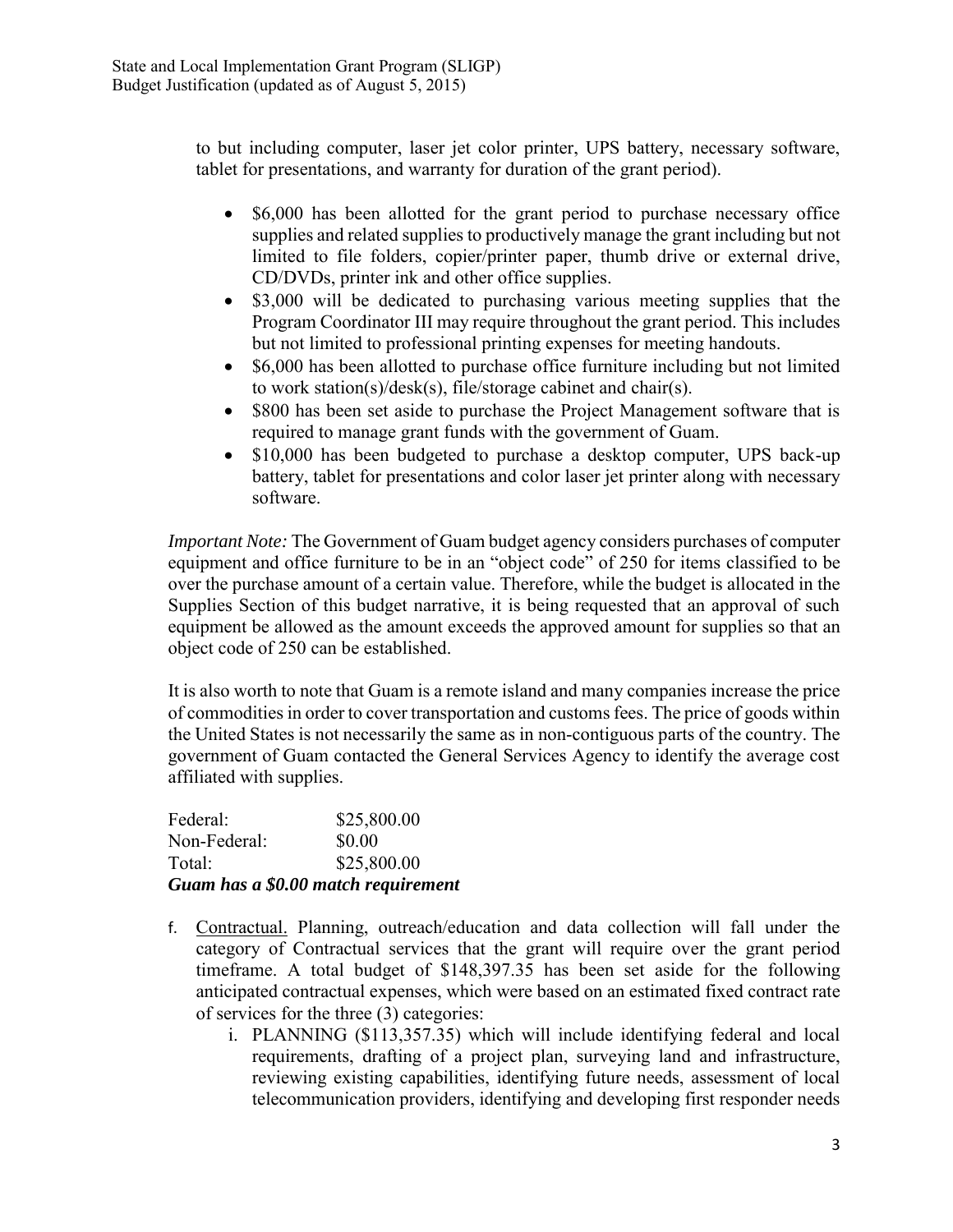to but including computer, laser jet color printer, UPS battery, necessary software, tablet for presentations, and warranty for duration of the grant period).

- \$6,000 has been allotted for the grant period to purchase necessary office supplies and related supplies to productively manage the grant including but not limited to file folders, copier/printer paper, thumb drive or external drive, CD/DVDs, printer ink and other office supplies.
- \$3,000 will be dedicated to purchasing various meeting supplies that the Program Coordinator III may require throughout the grant period. This includes but not limited to professional printing expenses for meeting handouts.
- \$6,000 has been allotted to purchase office furniture including but not limited to work station(s)/desk(s), file/storage cabinet and chair(s).
- \$800 has been set aside to purchase the Project Management software that is required to manage grant funds with the government of Guam.
- \$10,000 has been budgeted to purchase a desktop computer, UPS back-up battery, tablet for presentations and color laser jet printer along with necessary software.

*Important Note:* The Government of Guam budget agency considers purchases of computer equipment and office furniture to be in an "object code" of 250 for items classified to be over the purchase amount of a certain value. Therefore, while the budget is allocated in the Supplies Section of this budget narrative, it is being requested that an approval of such equipment be allowed as the amount exceeds the approved amount for supplies so that an object code of 250 can be established.

It is also worth to note that Guam is a remote island and many companies increase the price of commodities in order to cover transportation and customs fees. The price of goods within the United States is not necessarily the same as in non-contiguous parts of the country. The government of Guam contacted the General Services Agency to identify the average cost affiliated with supplies.

Federal: \$25,800.00 Non-Federal: \$0.00 Total: \$25,800.00 *Guam has a \$0.00 match requirement* 

- f. Contractual. Planning, outreach/education and data collection will fall under the category of Contractual services that the grant will require over the grant period timeframe. A total budget of \$148,397.35 has been set aside for the following anticipated contractual expenses, which were based on an estimated fixed contract rate of services for the three (3) categories:
	- i. PLANNING (\$113,357.35) which will include identifying federal and local requirements, drafting of a project plan, surveying land and infrastructure, reviewing existing capabilities, identifying future needs, assessment of local telecommunication providers, identifying and developing first responder needs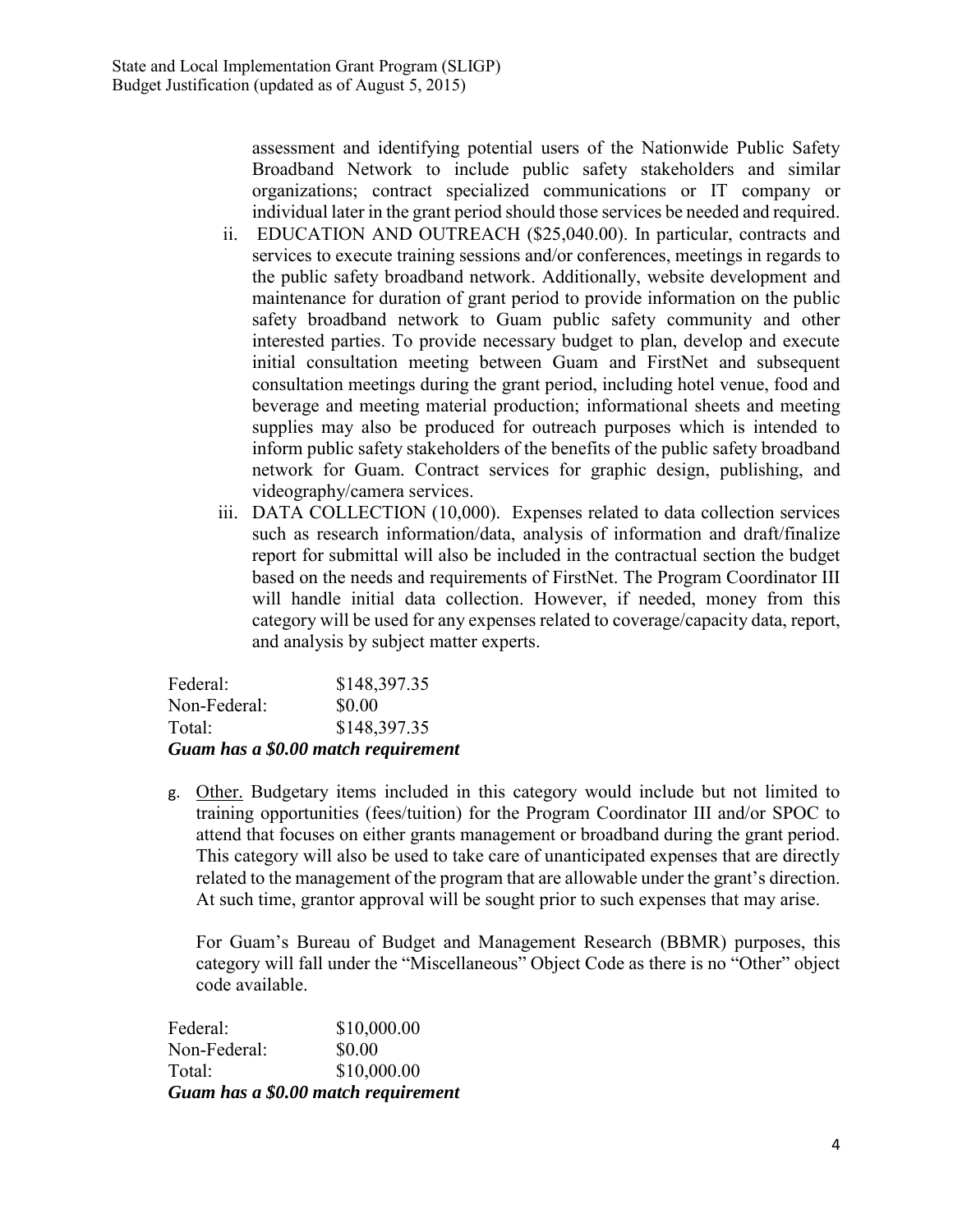assessment and identifying potential users of the Nationwide Public Safety Broadband Network to include public safety stakeholders and similar organizations; contract specialized communications or IT company or individual later in the grant period should those services be needed and required.

- ii. EDUCATION AND OUTREACH (\$25,040.00). In particular, contracts and services to execute training sessions and/or conferences, meetings in regards to the public safety broadband network. Additionally, website development and maintenance for duration of grant period to provide information on the public safety broadband network to Guam public safety community and other interested parties. To provide necessary budget to plan, develop and execute initial consultation meeting between Guam and FirstNet and subsequent consultation meetings during the grant period, including hotel venue, food and beverage and meeting material production; informational sheets and meeting supplies may also be produced for outreach purposes which is intended to inform public safety stakeholders of the benefits of the public safety broadband network for Guam. Contract services for graphic design, publishing, and videography/camera services.
- iii. DATA COLLECTION (10,000). Expenses related to data collection services such as research information/data, analysis of information and draft/finalize report for submittal will also be included in the contractual section the budget based on the needs and requirements of FirstNet. The Program Coordinator III will handle initial data collection. However, if needed, money from this category will be used for any expenses related to coverage/capacity data, report, and analysis by subject matter experts.

|              | Guam has a \$0.00 match requirement |
|--------------|-------------------------------------|
| Total:       | \$148,397.35                        |
| Non-Federal: | \$0.00                              |
| Federal:     | \$148,397.35                        |

g. Other. Budgetary items included in this category would include but not limited to training opportunities (fees/tuition) for the Program Coordinator III and/or SPOC to attend that focuses on either grants management or broadband during the grant period. This category will also be used to take care of unanticipated expenses that are directly related to the management of the program that are allowable under the grant's direction. At such time, grantor approval will be sought prior to such expenses that may arise.

For Guam's Bureau of Budget and Management Research (BBMR) purposes, this category will fall under the "Miscellaneous" Object Code as there is no "Other" object code available.

Federal: \$10,000.00 Non-Federal: \$0.00 Total: \$10,000.00 *Guam has a \$0.00 match requirement*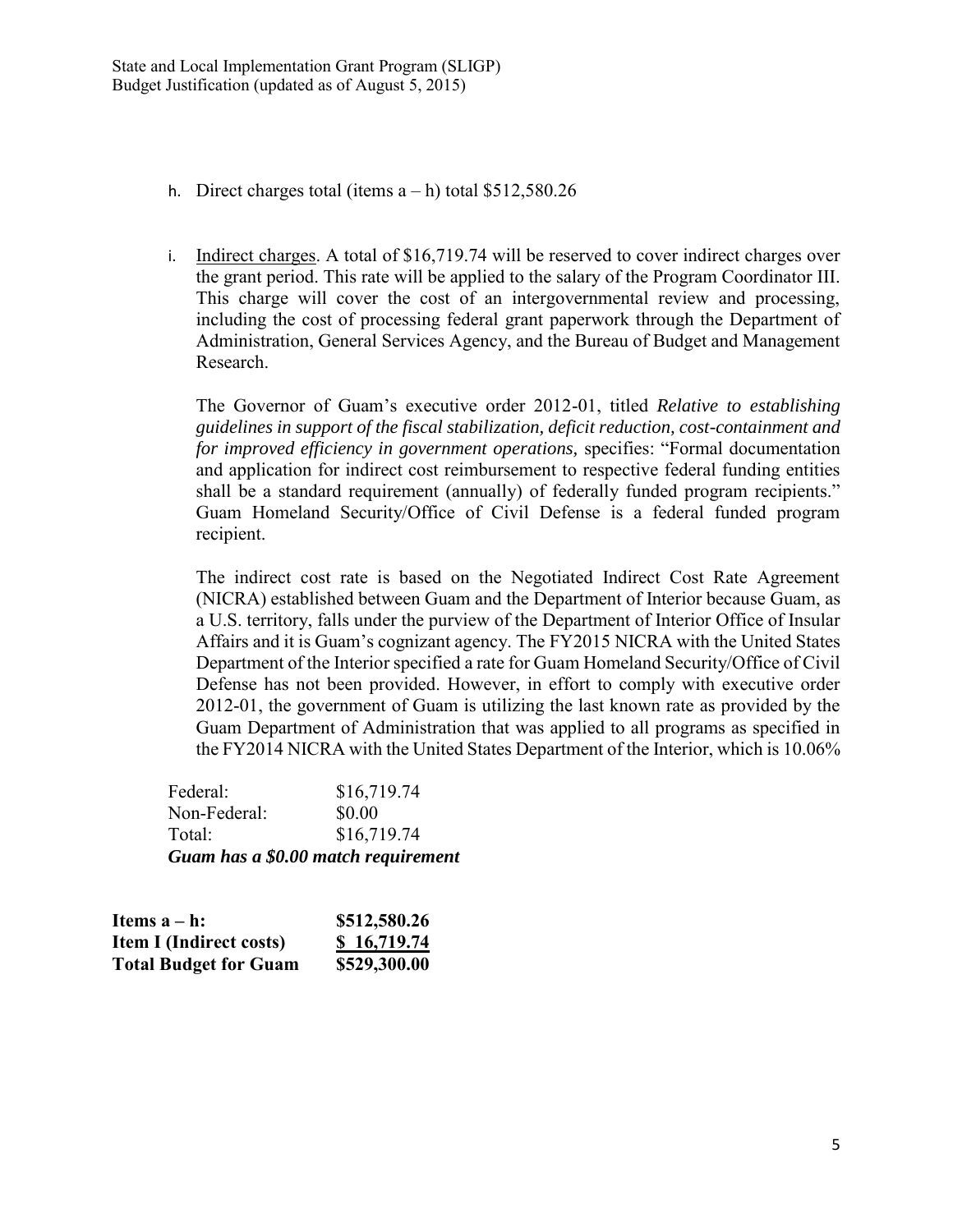- h. Direct charges total (items  $a h$ ) total \$512,580.26
- i. Indirect charges. A total of \$16,719.74 will be reserved to cover indirect charges over the grant period. This rate will be applied to the salary of the Program Coordinator III. This charge will cover the cost of an intergovernmental review and processing, including the cost of processing federal grant paperwork through the Department of Administration, General Services Agency, and the Bureau of Budget and Management Research.

The Governor of Guam's executive order 2012-01, titled *Relative to establishing guidelines in support of the fiscal stabilization, deficit reduction, cost-containment and for improved efficiency in government operations,* specifies: "Formal documentation and application for indirect cost reimbursement to respective federal funding entities shall be a standard requirement (annually) of federally funded program recipients." Guam Homeland Security/Office of Civil Defense is a federal funded program recipient.

The indirect cost rate is based on the Negotiated Indirect Cost Rate Agreement (NICRA) established between Guam and the Department of Interior because Guam, as a U.S. territory, falls under the purview of the Department of Interior Office of Insular Affairs and it is Guam's cognizant agency. The FY2015 NICRA with the United States Department of the Interior specified a rate for Guam Homeland Security/Office of Civil Defense has not been provided. However, in effort to comply with executive order 2012-01, the government of Guam is utilizing the last known rate as provided by the Guam Department of Administration that was applied to all programs as specified in the FY2014 NICRA with the United States Department of the Interior, which is 10.06%

Federal: \$16,719.74 Non-Federal:  $$0.00$ Total: \$16,719.74 *Guam has a \$0.00 match requirement* 

| Items $a - h$ :                | \$512,580.26 |
|--------------------------------|--------------|
| <b>Item I (Indirect costs)</b> | \$16,719.74  |
| <b>Total Budget for Guam</b>   | \$529,300.00 |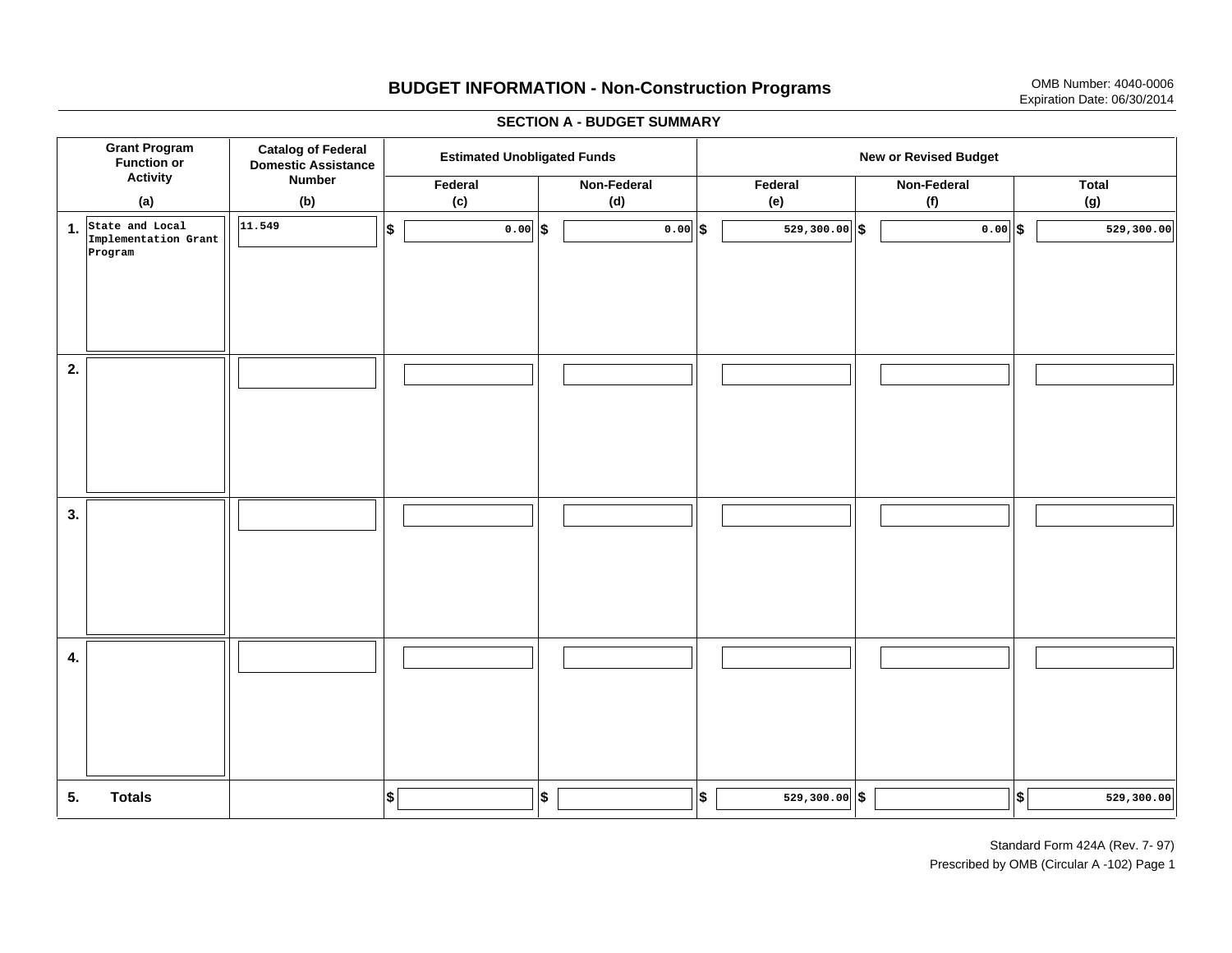# **BUDGET INFORMATION - Non-Construction Programs** OMB Number: 4040-0006 Expiration Date: 06/30/2014

**\$ Grant Program Function or Activity (a) Catalog of Federal Domestic Assistance Number (b) Estimated Unobligated Funds New or Revised Budget Federal(c) Non-Federal(d) Federal(e) Non-Federal (f) Total(g) 5. Totals4. 3. 2. 1.State and Local \$\$\$\$ \$ \$ \$ \$ \$ 529,300.00 529,300.00 Implementation Grant Program 11.549 0.000.00 529,300.00 1 529,300.00 529,300.00 5 529,300.00 5 529,300.00** 

## **SECTION A - BUDGET SUMMARY**

Standard Form 424A (Rev. 7- 97) Prescribed by OMB (Circular A -102) Page 1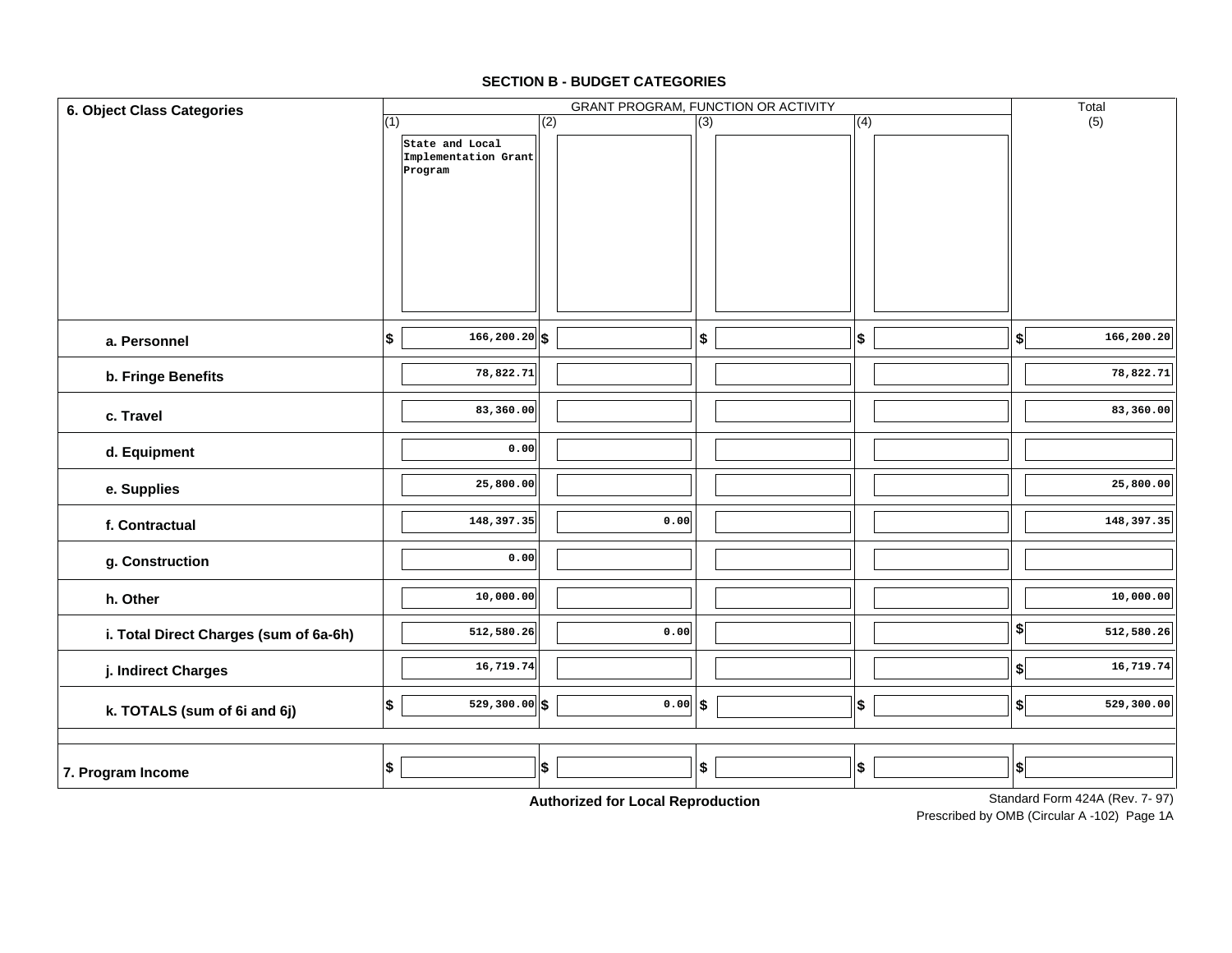| 6. Object Class Categories             |                                                           |                                       | GRANT PROGRAM, FUNCTION OR ACTIVITY |     | Total                                |
|----------------------------------------|-----------------------------------------------------------|---------------------------------------|-------------------------------------|-----|--------------------------------------|
|                                        | (1)<br>State and Local<br>Implementation Grant<br>Program | (2)                                   | (3)                                 | (4) | (5)                                  |
| a. Personnel                           | $\overline{166, 200.20}$ \$<br> \$                        |                                       | \$                                  | \$  | 166,200.20<br>\$                     |
| b. Fringe Benefits                     | 78,822.71                                                 |                                       |                                     |     | 78,822.71                            |
| c. Travel                              | 83,360.00                                                 |                                       |                                     |     | 83,360.00                            |
| d. Equipment                           | 0.00                                                      |                                       |                                     |     |                                      |
| e. Supplies                            | 25,800.00                                                 |                                       |                                     |     | 25,800.00                            |
| f. Contractual                         | 148,397.35                                                | 0.00                                  |                                     |     | 148,397.35                           |
| g. Construction                        | 0.00                                                      |                                       |                                     |     |                                      |
| h. Other                               | 10,000.00                                                 |                                       |                                     |     | 10,000.00                            |
| i. Total Direct Charges (sum of 6a-6h) | 512,580.26                                                | 0.00                                  |                                     |     | $\frac{1}{2}$<br>512,580.26          |
| j. Indirect Charges                    | 16,719.74                                                 |                                       |                                     |     | 16,719.74<br>\$                      |
| k. TOTALS (sum of 6i and 6j)           | $529,300.00$ \$<br> \$                                    | $0.00$ \$                             |                                     | \$  | 529,300.00<br>\$                     |
| 7. Program Income                      | $$\mathsf{S}$$                                            | \$<br>Authorization Land Dependuation | \$                                  | \$  | \$<br>Standard Form 424A (Rev. 7-97) |

# **SECTION B - BUDGET CATEGORIES**

**Authorized for Local Reproduction**

Standard Form 424A (Rev. 7- 97)

Prescribed by OMB (Circular A -102) Page 1A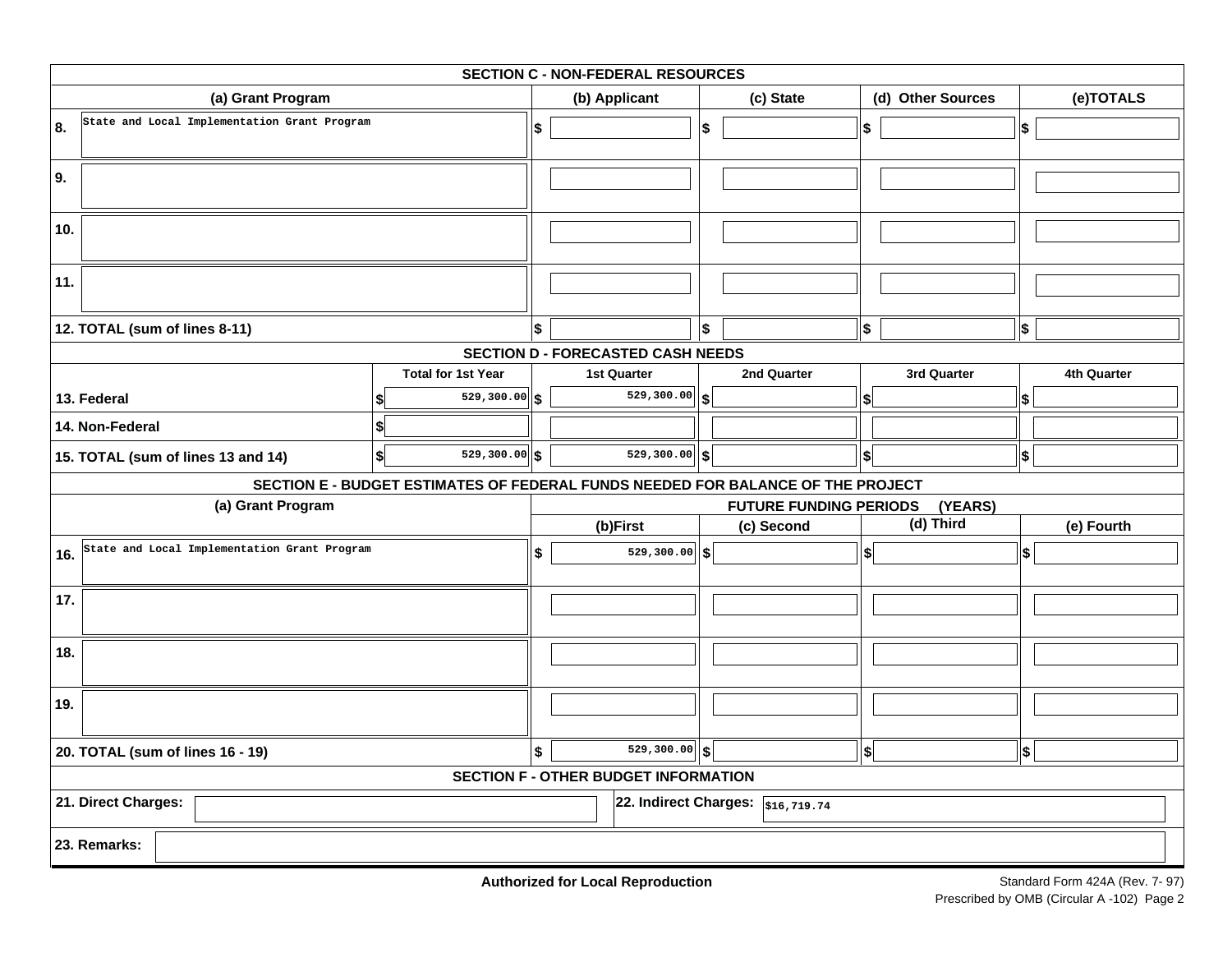|     | <b>SECTION C - NON-FEDERAL RESOURCES</b>     |                                                                                 |    |                                             |    |                                                     |                   |                   |             |  |  |  |
|-----|----------------------------------------------|---------------------------------------------------------------------------------|----|---------------------------------------------|----|-----------------------------------------------------|-------------------|-------------------|-------------|--|--|--|
|     | (a) Grant Program                            |                                                                                 |    | (b) Applicant                               |    | (c) State                                           |                   | (d) Other Sources | (e)TOTALS   |  |  |  |
| 8.  | State and Local Implementation Grant Program |                                                                                 | \$ |                                             | \$ |                                                     | \$                |                   | \$          |  |  |  |
| 9.  |                                              |                                                                                 |    |                                             |    |                                                     |                   |                   |             |  |  |  |
| 10. |                                              |                                                                                 |    |                                             |    |                                                     |                   |                   |             |  |  |  |
| 11. |                                              |                                                                                 |    |                                             |    |                                                     |                   |                   |             |  |  |  |
|     | 12. TOTAL (sum of lines 8-11)                |                                                                                 | \$ |                                             | \$ |                                                     | $\boldsymbol{\$}$ |                   | \$          |  |  |  |
|     |                                              |                                                                                 |    | <b>SECTION D - FORECASTED CASH NEEDS</b>    |    |                                                     |                   |                   |             |  |  |  |
|     |                                              | <b>Total for 1st Year</b>                                                       |    | <b>1st Quarter</b>                          |    | 2nd Quarter                                         |                   | 3rd Quarter       | 4th Quarter |  |  |  |
|     | 13. Federal                                  | $529,300.00$ \$                                                                 |    | $\overline{529,300.00}$ \$                  |    |                                                     | \$                |                   | \$          |  |  |  |
|     | 14. Non-Federal                              | S                                                                               |    |                                             |    |                                                     |                   |                   |             |  |  |  |
|     | 15. TOTAL (sum of lines 13 and 14)           | \$<br>$529,300.00$ \$                                                           |    | $529,300.00$ \$                             |    |                                                     | \$                |                   | \$          |  |  |  |
|     |                                              |                                                                                 |    |                                             |    |                                                     |                   |                   |             |  |  |  |
|     |                                              |                                                                                 |    |                                             |    |                                                     |                   |                   |             |  |  |  |
|     | (a) Grant Program                            | SECTION E - BUDGET ESTIMATES OF FEDERAL FUNDS NEEDED FOR BALANCE OF THE PROJECT |    |                                             |    | <b>FUTURE FUNDING PERIODS</b>                       |                   | (YEARS)           |             |  |  |  |
|     |                                              |                                                                                 |    | (b)First                                    |    | (c) Second                                          |                   | (d) Third         | (e) Fourth  |  |  |  |
| 16. | State and Local Implementation Grant Program |                                                                                 | \$ | $529,300.00$ \$                             |    |                                                     | \$                |                   | \$          |  |  |  |
| 17. |                                              |                                                                                 |    |                                             |    |                                                     |                   |                   |             |  |  |  |
| 18. |                                              |                                                                                 |    |                                             |    |                                                     |                   |                   |             |  |  |  |
| 19. |                                              |                                                                                 |    |                                             |    |                                                     |                   |                   |             |  |  |  |
|     | 20. TOTAL (sum of lines 16 - 19)             |                                                                                 | \$ | $\overline{529,300.00}$ \$                  |    |                                                     | \$                |                   | ∣\$         |  |  |  |
|     |                                              |                                                                                 |    | <b>SECTION F - OTHER BUDGET INFORMATION</b> |    |                                                     |                   |                   |             |  |  |  |
|     | 21. Direct Charges:                          |                                                                                 |    |                                             |    | 22. Indirect Charges: $\sqrt{\frac{1}{516,719.74}}$ |                   |                   |             |  |  |  |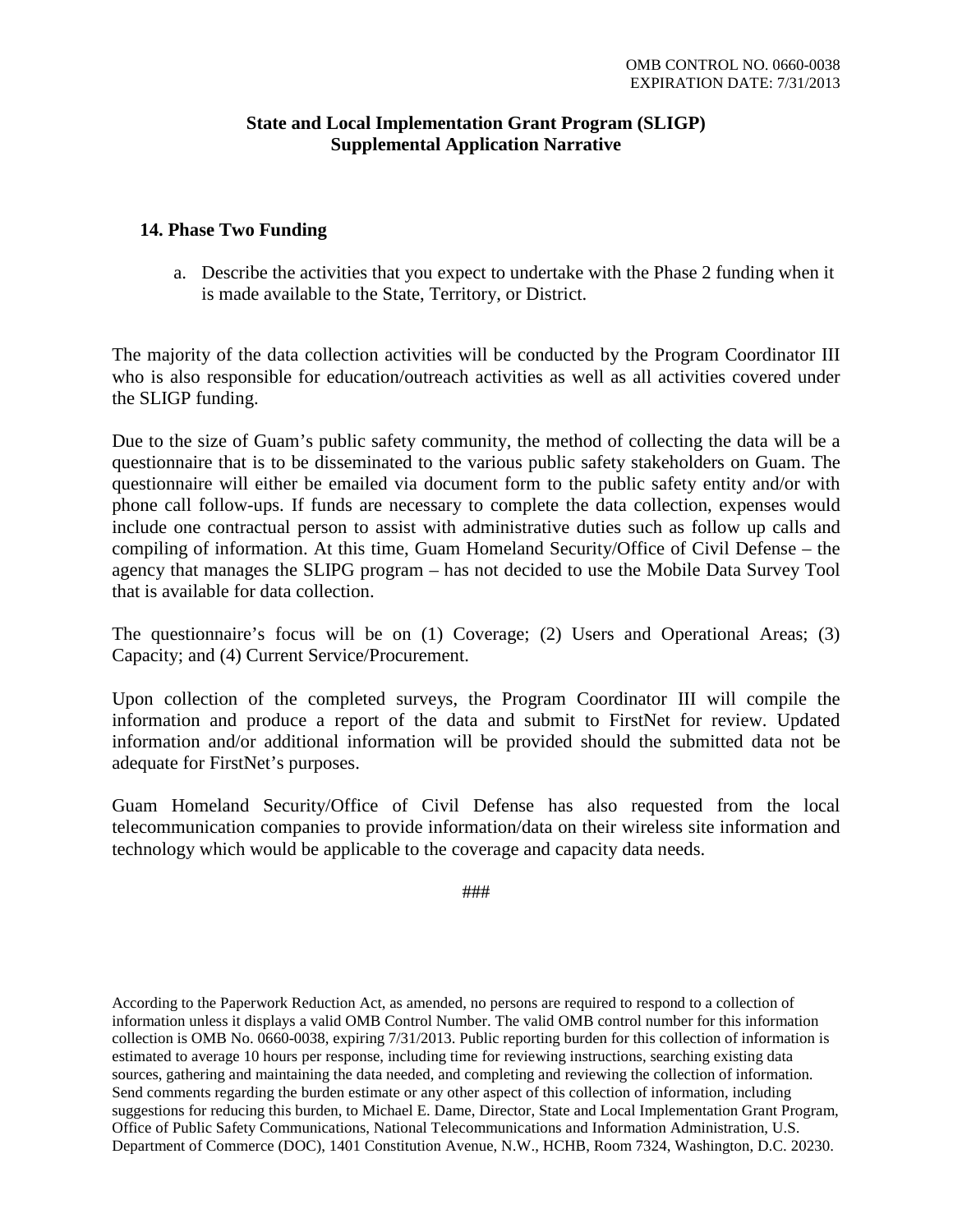# **State and Local Implementation Grant Program (SLIGP) Supplemental Application Narrative**

# **14. Phase Two Funding**

a. Describe the activities that you expect to undertake with the Phase 2 funding when it is made available to the State, Territory, or District.

The majority of the data collection activities will be conducted by the Program Coordinator III who is also responsible for education/outreach activities as well as all activities covered under the SLIGP funding.

Due to the size of Guam's public safety community, the method of collecting the data will be a questionnaire that is to be disseminated to the various public safety stakeholders on Guam. The questionnaire will either be emailed via document form to the public safety entity and/or with phone call follow-ups. If funds are necessary to complete the data collection, expenses would include one contractual person to assist with administrative duties such as follow up calls and compiling of information. At this time, Guam Homeland Security/Office of Civil Defense – the agency that manages the SLIPG program – has not decided to use the Mobile Data Survey Tool that is available for data collection.

The questionnaire's focus will be on (1) Coverage; (2) Users and Operational Areas; (3) Capacity; and (4) Current Service/Procurement.

Upon collection of the completed surveys, the Program Coordinator III will compile the information and produce a report of the data and submit to FirstNet for review. Updated information and/or additional information will be provided should the submitted data not be adequate for FirstNet's purposes.

Guam Homeland Security/Office of Civil Defense has also requested from the local telecommunication companies to provide information/data on their wireless site information and technology which would be applicable to the coverage and capacity data needs.

###

According to the Paperwork Reduction Act, as amended, no persons are required to respond to a collection of information unless it displays a valid OMB Control Number. The valid OMB control number for this information collection is OMB No. 0660-0038, expiring 7/31/2013. Public reporting burden for this collection of information is estimated to average 10 hours per response, including time for reviewing instructions, searching existing data sources, gathering and maintaining the data needed, and completing and reviewing the collection of information. Send comments regarding the burden estimate or any other aspect of this collection of information, including suggestions for reducing this burden, to Michael E. Dame, Director, State and Local Implementation Grant Program, Office of Public Safety Communications, National Telecommunications and Information Administration, U.S. Department of Commerce (DOC), 1401 Constitution Avenue, N.W., HCHB, Room 7324, Washington, D.C. 20230.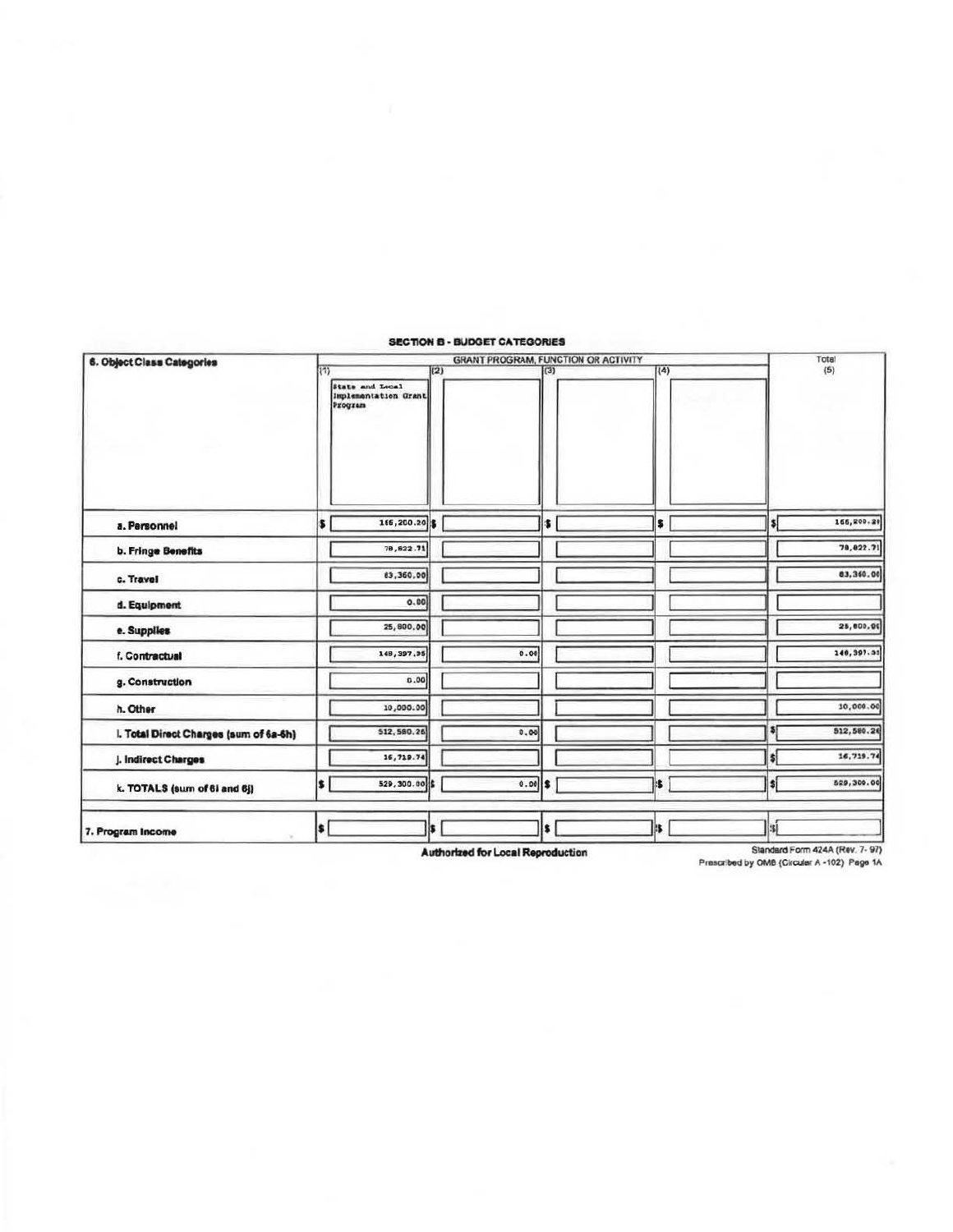| 6. Object Class Categories             |                           |                                                    |     | <b>GRANT PROGRAM, FUNCTION OR ACTIVITY</b> |     |  |     |                    | Tota!      |
|----------------------------------------|---------------------------|----------------------------------------------------|-----|--------------------------------------------|-----|--|-----|--------------------|------------|
|                                        | $\overline{\mathfrak{m}}$ | State and Local<br>Implementation Grant<br>Program | (2) |                                            | (3) |  | (4) |                    | (5)        |
| a. Personnel                           | s                         | 166,200.20                                         |     |                                            | \$  |  | \$  | SI                 | 166,200.20 |
| <b>b. Fringe Benefits</b>              |                           | 78,622.71                                          |     |                                            |     |  |     |                    | 79, 822.71 |
| c. Travel                              |                           | 83,360.00                                          |     |                                            |     |  |     |                    | 83,360.00  |
| d. Equipment                           |                           | 0.00                                               |     |                                            |     |  |     |                    |            |
| e. Supplies                            |                           | 25,800.00                                          |     |                                            |     |  |     |                    | 25,000.00  |
| f. Contractual                         |                           | 148, 397, 35                                       |     | 0.00                                       |     |  |     |                    | 148,397.35 |
| g. Construction                        |                           | 0.00                                               |     |                                            |     |  |     |                    |            |
| h. Other                               |                           | 10,000.00                                          |     |                                            |     |  |     |                    | 10,000.00  |
| I. Total Direct Charges (sum of 6a-6h) |                           | 512, 580.26                                        |     | 0.00                                       |     |  |     |                    | 512,580.26 |
| j. Indirect Charges                    |                           | 16,719.74                                          |     |                                            |     |  |     | 51                 | 16,719.74  |
| k. TOTALS (sum of 6i and 6j)           | \$                        | 529,300.00                                         |     | 0.00                                       | \$  |  | is. | ¦\$i               | 529,300.00 |
| 7. Program Income                      | l\$                       |                                                    | is. |                                            | \$  |  | IS. | $\vert$ is $\vert$ |            |

### SECTION B - BUDGET CATEGORIES

Authorized for Local Reproduction

Standard Form 424A (Rev. 7-97)<br>Prescribed by OMB (Circular A -102) Page 1A